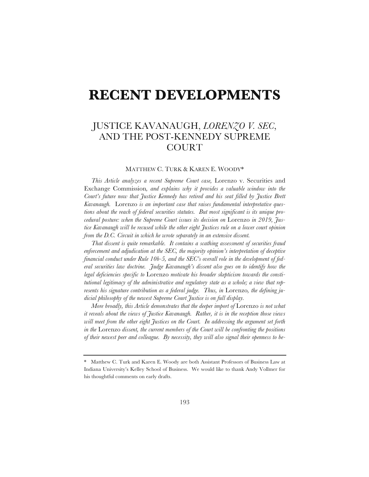# **RECENT DEVELOPMENTS**

# JUSTICE KAVANAUGH, *LORENZO V. SEC*, AND THE POST-KENNEDY SUPREME COURT

# MATTHEW C. TURK & KAREN E. WOODY\*

*This Article analyzes a recent Supreme Court case,* Lorenzo v. Securities and Exchange Commission*, and explains why it provides a valuable window into the Court's future now that Justice Kennedy has retired and his seat filled by Justice Brett Kavanaugh.* Lorenzo *is an important case that raises fundamental interpretative questions about the reach of federal securities statutes. But most significant is its unique procedural posture: when the Supreme Court issues its decision on* Lorenzo *in 2019, Justice Kavanaugh will be recused while the other eight Justices rule on a lower court opinion from the D.C. Circuit in which he wrote separately in an extensive dissent.* 

*That dissent is quite remarkable. It contains a scathing assessment of securities fraud enforcement and adjudication at the SEC, the majority opinion's interpretation of deceptive financial conduct under Rule 10b-5, and the SEC's overall role in the development of federal securities law doctrine. Judge Kavanaugh's dissent also goes on to identify how the legal deficiencies specific to* Lorenzo *motivate his broader skepticism towards the constitutional legitimacy of the administrative and regulatory state as a whole; a view that rep*resents his signature contribution as a federal judge. Thus, in Lorenzo, the defining ju*dicial philosophy of the newest Supreme Court Justice is on full display.* 

*More broadly, this Article demonstrates that the deeper import of Lorenzo is not what it reveals about the views of Justice Kavanaugh. Rather, it is in the reception those views will meet from the other eight Justices on the Court. In addressing the argument set forth in the* Lorenzo *dissent, the current members of the Court will be confronting the positions of their newest peer and colleague. By necessity, they will also signal their openness to be-*

<sup>\*</sup> Matthew C. Turk and Karen E. Woody are both Assistant Professors of Business Law at Indiana University's Kelley School of Business. We would like to thank Andy Vollmer for his thoughtful comments on early drafts.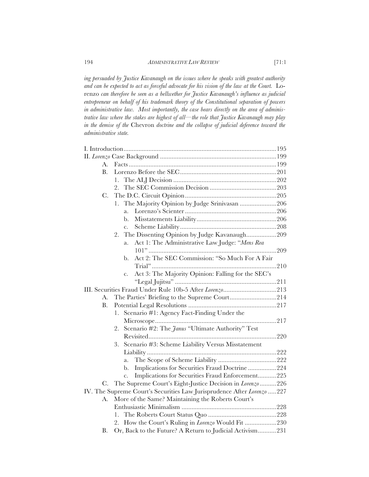*ing persuaded by Justice Kavanaugh on the issues where he speaks with greatest authority and can be expected to act as forceful advocate for his vision of the law at the Court.* Lorenzo *can therefore be seen as a bellwether for Justice Kavanaugh's influence as judicial entrepreneur on behalf of his trademark theory of the Constitutional separation of powers in administrative law. Most importantly, the case bears directly on the area of administrative law where the stakes are highest of all—the role that Justice Kavanaugh may play in the demise of the* Chevron *doctrine and the collapse of judicial deference toward the administrative state.* 

| A.                                                                      |  |
|-------------------------------------------------------------------------|--|
| <b>B.</b>                                                               |  |
| $\mathbf{1}$ .                                                          |  |
| 2.                                                                      |  |
| $C$ .                                                                   |  |
| The Majority Opinion by Judge Srinivasan 206<br>1.                      |  |
| a.                                                                      |  |
| b.                                                                      |  |
| $\mathbf{C}$ .                                                          |  |
| The Dissenting Opinion by Judge Kavanaugh209<br>2.                      |  |
| Act 1: The Administrative Law Judge: "Mens Rea<br>a.                    |  |
|                                                                         |  |
| Act 2: The SEC Commission: "So Much For A Fair<br>b.                    |  |
|                                                                         |  |
| Act 3: The Majority Opinion: Falling for the SEC's<br>c.                |  |
|                                                                         |  |
|                                                                         |  |
| А.                                                                      |  |
| B.                                                                      |  |
| Scenario #1: Agency Fact-Finding Under the<br>1.                        |  |
|                                                                         |  |
| Scenario #2: The Janus "Ultimate Authority" Test<br>2.                  |  |
|                                                                         |  |
| Scenario #3: Scheme Liability Versus Misstatement<br>3.                 |  |
|                                                                         |  |
| a.                                                                      |  |
| Implications for Securities Fraud Doctrine224<br>b.                     |  |
| Implications for Securities Fraud Enforcement225<br>$\mathbf{c}$ .      |  |
| C. The Supreme Court's Eight-Justice Decision in Lorenzo 226            |  |
| IV. The Supreme Court's Securities Law Jurisprudence After Lorenzo  227 |  |
| More of the Same? Maintaining the Roberts Court's<br>А.                 |  |
|                                                                         |  |
| 1.                                                                      |  |
| How the Court's Ruling in <i>Lorenzo</i> Would Fit 230<br>2.            |  |
| Or, Back to the Future? A Return to Judicial Activism231<br>В.          |  |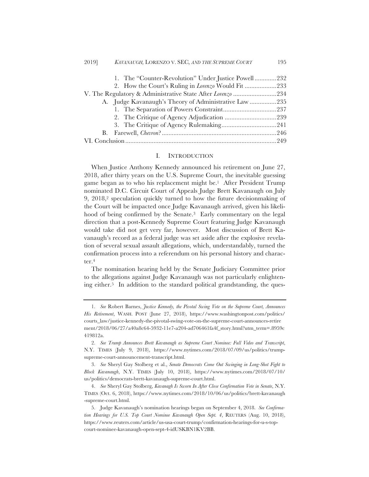| 1. The "Counter-Revolution" Under Justice Powell232        |
|------------------------------------------------------------|
| 2. How the Court's Ruling in <i>Lorenzo</i> Would Fit 233  |
| V. The Regulatory & Administrative State After Lorenzo 234 |
| A. Judge Kavanaugh's Theory of Administrative Law 235      |
|                                                            |
|                                                            |
|                                                            |
|                                                            |
|                                                            |

#### I. INTRODUCTION

When Justice Anthony Kennedy announced his retirement on June 27, 2018, after thirty years on the U.S. Supreme Court, the inevitable guessing game began as to who his replacement might be.1 After President Trump nominated D.C. Circuit Court of Appeals Judge Brett Kavanaugh on July 9, 2018,2 speculation quickly turned to how the future decisionmaking of the Court will be impacted once Judge Kavanaugh arrived, given his likelihood of being confirmed by the Senate.<sup>3</sup> Early commentary on the legal direction that a post-Kennedy Supreme Court featuring Judge Kavanaugh would take did not get very far, however. Most discussion of Brett Kavanaugh's record as a federal judge was set aside after the explosive revelation of several sexual assault allegations, which, understandably, turned the confirmation process into a referendum on his personal history and character.4

The nomination hearing held by the Senate Judiciary Committee prior to the allegations against Judge Kavanaugh was not particularly enlightening either.5 In addition to the standard political grandstanding, the ques-

<sup>1.</sup> *See* Robert Barnes, *Justice Kennedy, the Pivotal Swing Vote on the Supreme Court, Announces His Retirement*, WASH. POST (June 27, 2018), https://www.washingtonpost.com/politics/ courts\_law/justice-kennedy-the-pivotal-swing-vote-on-the-supreme-court-announces-retire ment/2018/06/27/a40a8c64-5932-11e7-a204-ad706461fa4f\_story.html?utm\_term=.8959c 419812a.

<sup>2.</sup> *See Trump Announces Brett Kavanaugh as Supreme Court Nominee: Full Video and Transcript*, N.Y. TIMES (July 9, 2018), https://www.nytimes.com/2018/07/09/us/politics/trumpsupreme-court-announcement-transcript.html.

<sup>3.</sup> *See* Sheryl Gay Stolberg et al., *Senate Democrats Come Out Swinging in Long-Shot Fight to Block Kavanaugh*, N.Y. TIMES (July 10, 2018), https://www.nytimes.com/2018/07/10/ us/politics/democrats-brett-kavanaugh-supreme-court.html.

<sup>4.</sup> *See* Sheryl Gay Stolberg, *Kavanagh Is Sworn In After Close Confirmation Vote in Senate*, N.Y. TIMES (Oct. 6, 2018), https://www.nytimes.com/2018/10/06/us/politics/brett-kavanaugh -supreme-court.html.

<sup>5.</sup> Judge Kavanaugh's nomination hearings began on September 4, 2018. *See Confirmation Hearings for U.S. Top Court Nominee Kavanaugh Open Sept. 4*, REUTERS (Aug. 10, 2018), https://www.reuters.com/article/us-usa-court-trump/confirmation-hearings-for-u-s-topcourt-nominee-kavanaugh-open-sept-4-idUSKBN1KV2BB.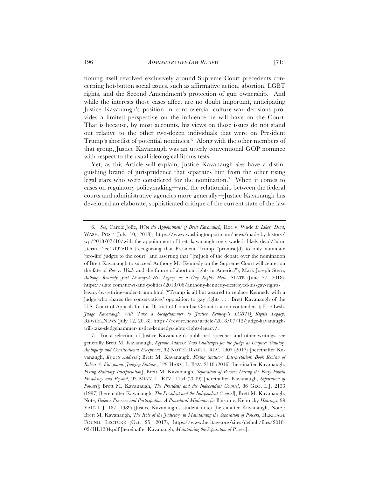tioning itself revolved exclusively around Supreme Court precedents concerning hot-button social issues, such as affirmative action, abortion, LGBT rights, and the Second Amendment's protection of gun ownership. And while the interests those cases affect are no doubt important, anticipating Justice Kavanaugh's position in controversial culture-war decisions provides a limited perspective on the influence he will have on the Court. That is because, by most accounts, his views on those issues do not stand out relative to the other two-dozen individuals that were on President Trump's shortlist of potential nominees.6 Along with the other members of that group, Justice Kavanaugh was an utterly conventional GOP nominee with respect to the usual ideological litmus tests.

Yet, as this Article will explain, Justice Kavanaugh *does* have a distinguishing brand of jurisprudence that separates him from the other rising legal stars who were considered for the nomination.7 When it comes to cases on regulatory policymaking—and the relationship between the federal courts and administrative agencies more generally—Justice Kavanaugh has developed an elaborate, sophisticated critique of the current state of the law

<sup>6.</sup> *See*, Carole Joffe, *With the Appointment of Brett Kavanaugh,* Roe v. Wade *Is Likely Dead*, WASH. POST (July 10, 2018), https://www.washingtonpost.com/news/made-by-history/ wp/2018/07/10/with-the-appointment-of-brett-kavanaugh-roe-v-wade-is-likely-dead/?utm \_term=.2ee47f92e106 (recognizing that President Trump "promise[d] to only nominate 'pro-life' judges to the court" and asserting that "[m]uch of the debate over the nomination of Brett Kavanaugh to succeed Anthony M. Kennedy on the Supreme Court will center on the fate of *Roe* v. *Wade* and the future of abortion rights in America"); Mark Joseph Stern, *Anthony Kennedy Just Destroyed His Legacy as a Gay Rights Hero*, SLATE (June 27, 2018), https://slate.com/news-and-politics/2018/06/anthony-kennedy-destroyed-his-gay-rightslegacy-by-retiring-under-trump.html ("Trump is all but assured to replace Kennedy with a judge who shares the conservatives' opposition to gay rights. . . . Brett Kavanaugh of the U.S. Court of Appeals for the District of Columbia Circuit is a top contender."); Eric Lesh, *Judge Kavanaugh Will Take a Sledgehammer to Justice Kennedy's LGBTQ Rights Legacy*, REWIRE.NEWS (July 12, 2018), https://rewire.news/article/2018/07/12/judge-kavanaughwill-take-sledgehammer-justice-kennedys-lgbtq-rights-legacy/.

<sup>7.</sup> For a selection of Justice Kavanaugh's published speeches and other writings, see generally Brett M. Kavanaugh, *Keynote Address: Two Challenges for the Judge as Umpire: Statutory Ambiguity and Constitutional Exceptions*, 92 NOTRE DAME L. REV. 1907 (2017) [hereinafter Kavanaugh, *Keynote Address*]; Brett M. Kavanaugh, *Fixing Statutory Interpretation*: *Book Review of Robert A. Katzmann: Judging Statutes*, 129 HARV. L. REV. 2118 (2016) [hereinafter Kavanaugh, *Fixing Statutory Interpretation*]; Brett M. Kavanaugh, *Separation of Powers During the Forty-Fourth Presidency and Beyond*, 93 MINN. L. REV. 1454 (2009) [hereinafter Kavanaugh, *Separation of Powers*]; Brett M. Kavanaugh, *The President and the Independent Counsel*, 86 GEO. L.J. 2133 (1997) [hereinafter Kavanaugh, *The President and the Independent Counsel*]; Brett M. Kavanaugh, Note, *Defense Presence and Participation: A Procedural Minimum for* Batson v. Kentucky *Hearings*, 99 YALE L.J. 187 (1989) (Justice Kavanaugh's student note) [hereinafter Kavanaugh, Note]; Brett M. Kavanaugh, *The Role of the Judiciary in Maintaining the Separation of Powers*, HERITAGE FOUND. LECTURE (Oct. 25, 2017), https://www.heritage.org/sites/default/files/2018- 02/HL1284.pdf [hereinafter Kavanaugh, *Maintaining the Separation of Powers*].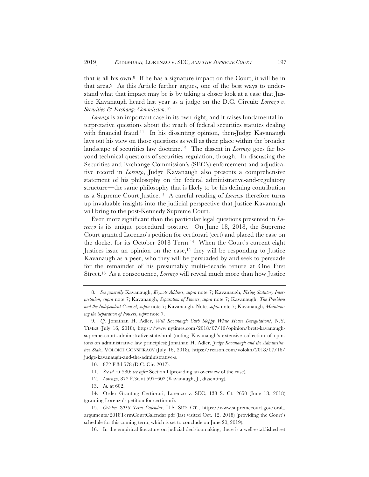that is all his own.8 If he has a signature impact on the Court, it will be in that area.9 As this Article further argues, one of the best ways to understand what that impact may be is by taking a closer look at a case that Justice Kavanaugh heard last year as a judge on the D.C. Circuit: *Lorenzo v. Securities & Exchange Commission*.10

*Lorenzo* is an important case in its own right, and it raises fundamental interpretative questions about the reach of federal securities statutes dealing with financial fraud.<sup>11</sup> In his dissenting opinion, then-Judge Kavanaugh lays out his view on those questions as well as their place within the broader landscape of securities law doctrine.12 The dissent in *Lorenzo* goes far beyond technical questions of securities regulation, though. In discussing the Securities and Exchange Commission's (SEC's) enforcement and adjudicative record in *Lorenzo*, Judge Kavanaugh also presents a comprehensive statement of his philosophy on the federal administrative-and-regulatory structure—the same philosophy that is likely to be his defining contribution as a Supreme Court Justice.13 A careful reading of *Lorenzo* therefore turns up invaluable insights into the judicial perspective that Justice Kavanaugh will bring to the post-Kennedy Supreme Court.

Even more significant than the particular legal questions presented in *Lorenzo* is its unique procedural posture. On June 18, 2018, the Supreme Court granted Lorenzo's petition for certiorari (cert) and placed the case on the docket for its October 2018 Term.14 When the Court's current eight Justices issue an opinion on the case,15 they will be responding to Justice Kavanaugh as a peer, who they will be persuaded by and seek to persuade for the remainder of his presumably multi-decade tenure at One First Street.16 As a consequence, *Lorenzo* will reveal much more than how Justice

- 11. *See id.* at 580; *see infra* Section I (providing an overview of the case).
- 12. *Lorenzo*, 872 F.3d at 597–602 (Kavanaugh, J., dissenting).
- 13. *Id.* at 602.

<sup>8.</sup> *See generally* Kavanaugh, *Keynote Address*, *supra* note 7; Kavanaugh, *Fixing Statutory Interpretation*, *supra* note 7; Kavanaugh, *Separation of Powers*, *supra* note 7; Kavanaugh, *The President and the Independent Counsel*, *supra* note 7; Kavanaugh, Note*, supra* note 7; Kavanaugh, *Maintaining the Separation of Powers*, *supra* note 7.

<sup>9.</sup> *Cf.* Jonathan H. Adler, *Will Kavanaugh Curb Sloppy White House Deregulation?*, N.Y. TIMES (July 16, 2018), https://www.nytimes.com/2018/07/16/opinion/brett-kavanaughsupreme-court-administrative-state.html (noting Kavanaugh's extensive collection of opinions on administrative law principles); Jonathan H. Adler, *Judge Kavanaugh and the Administrative State*, VOLOKH CONSPIRACY (July 16, 2018), https://reason.com/volokh/2018/07/16/ judge-kavanaugh-and-the-administrative-s.

<sup>10. 872</sup> F.3d 578 (D.C. Cir. 2017).

<sup>14.</sup> Order Granting Certiorari, Lorenzo v. SEC, 138 S. Ct. 2650 (June 18, 2018) (granting Lorenzo's petition for certiorari).

<sup>15.</sup> *October 2018 Term Calendar*, U.S. SUP. CT., https://www.supremecourt.gov/oral\_ arguments/2018TermCourtCalendar.pdf (last visited Oct. 12, 2018) (providing the Court's schedule for this coming term, which is set to conclude on June 20, 2019).

<sup>16.</sup> In the empirical literature on judicial decisionmaking, there is a well-established set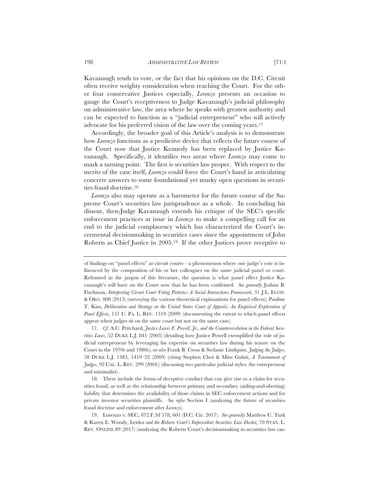Kavanaugh tends to vote, or the fact that his opinions on the D.C. Circuit often receive weighty consideration when reaching the Court. For the other four conservative Justices especially, *Lorenzo* presents an occasion to gauge the Court's receptiveness to Judge Kavanaugh's judicial philosophy on administrative law, the area where he speaks with greatest authority and can be expected to function as a "judicial entrepreneur" who will actively advocate for his preferred vision of the law over the coming years.17

Accordingly, the broader goal of this Article's analysis is to demonstrate how *Lorenzo* functions as a predictive device that reflects the future course of the Court now that Justice Kennedy has been replaced by Justice Kavanaugh. Specifically, it identifies two areas where *Lorenzo* may come to mark a turning point. The first is securities law proper. With respect to the merits of the case itself, *Lorenzo* could force the Court's hand in articulating concrete answers to some foundational yet murky open questions in securities fraud doctrine.18

*Lorenzo* also may operate as a barometer for the future course of the Supreme Court's securities law jurisprudence as a whole. In concluding his dissent, then-Judge Kavanaugh extends his critique of the SEC's specific enforcement practices at issue in *Lorenzo* to make a compelling call for an end to the judicial complacency which has characterized the Court's incremental decisionmaking in securities cases since the appointment of John Roberts as Chief Justice in 2005.19 If the other Justices prove receptive to

17. *Cf.* A.C. Pritchard, *Justice Lewis F. Powell, Jr., and the Counterrevolution in the Federal Securities Laws*, 52 DUKE L.J. 841 (2003) (detailing how Justice Powell exemplified the role of judicial entrepreneur by leveraging his expertise on securities law during his tenure on the Court in the 1970s and 1980s); *see also* Frank B. Cross & Stefanie Lindquist, *Judging the Judges*, 58 DUKE L.J. 1383, 1419–22 (2009) (citing Stephen Choi & Mitu Gulati, *A Tournament of Judges*, 92 CAL. L. REV. 299 (2004)) (discussing two particular judicial styles: the entrepreneur and minimalist) .

18. These include the forms of deceptive conduct that can give rise to a claim for securities fraud, as well as the relationship between primary and secondary (aiding-and-abetting) liability that determines the availability of those claims in SEC enforcement actions and for private investor securities plaintiffs. *See infra* Section I (analyzing the future of securities fraud doctrine and enforcement after *Lorenzo*).

19. Lorenzo v. SEC, 872 F.3d 578, 601 (D.C. Cir. 2017). *See generally* Matthew C. Turk & Karen E. Woody, Leidos *and the Roberts Court's Improvident Securities Law Docket*, 70 STAN. L. REV. ONLINE 89 (2017) (analyzing the Roberts Court's decisionmaking in securities law cas-

of findings on "panel effects" at circuit courts—a phenomenon where one judge's vote is influenced by the composition of his or her colleagues on the same judicial panel or court. Reframed in the jargon of this literature, the question is what panel effect Justice Kavanaugh's will have on the Court now that he has been confirmed. *See generally* Joshua B. Fischman, *Interpreting Circuit Court Voting Patterns: A Social Interactions Framework*, 31 J.L. ECON. & ORG. 808 (2013) (surveying the various theoretical explanations for panel effects); Pauline T. Kim, *Deliberation and Strategy on the United States Court of Appeals: An Empirical Exploration of Panel Effects*, 157 U. PA. L. REV. 1319 (2009) (documenting the extent to which panel effects appear when judges sit on the same court but not on the same case).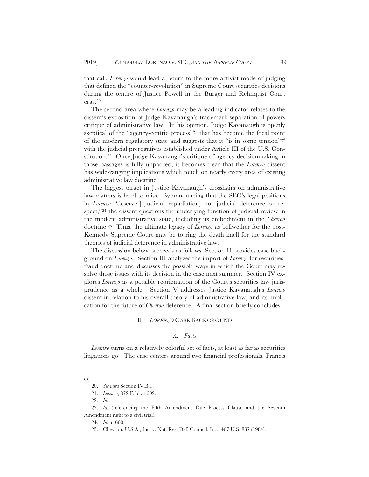that call, *Lorenzo* would lead a return to the more activist mode of judging that defined the "counter-revolution" in Supreme Court securities decisions during the tenure of Justice Powell in the Burger and Rehnquist Court eras.20

The second area where *Lorenzo* may be a leading indicator relates to the dissent's exposition of Judge Kavanaugh's trademark separation-of-powers critique of administrative law. In his opinion, Judge Kavanaugh is openly skeptical of the "agency-centric process"21 that has become the focal point of the modern regulatory state and suggests that it "is in some tension"22 with the judicial prerogatives established under Article III of the U.S. Constitution.23 Once Judge Kavanaugh's critique of agency decisionmaking in those passages is fully unpacked, it becomes clear that the *Lorenzo* dissent has wide-ranging implications which touch on nearly every area of existing administrative law doctrine.

The biggest target in Justice Kavanaugh's crosshairs on administrative law matters is hard to miss. By announcing that the SEC's legal positions in *Lorenzo* "deserve[] judicial repudiation, not judicial deference or respect,"<sup>24</sup> the dissent questions the underlying function of judicial review in the modern administrative state, including its embodiment in the *Chevron*  doctrine.25 Thus, the ultimate legacy of *Lorenzo* as bellwether for the post-Kennedy Supreme Court may be to ring the death knell for the standard theories of judicial deference in administrative law.

The discussion below proceeds as follows: Section II provides case background on *Lorenzo*. Section III analyzes the import of *Lorenzo* for securitiesfraud doctrine and discusses the possible ways in which the Court may resolve those issues with its decision in the case next summer. Section IV explores *Lorenzo* as a possible reorientation of the Court's securities law jurisprudence as a whole. Section V addresses Justice Kavanaugh's *Lorenzo* dissent in relation to his overall theory of administrative law, and its implication for the future of *Chevron* deference. A final section briefly concludes.

#### II. *LORENZO* CASE BACKGROUND

#### *A. Facts*

*Lorenzo* turns on a relatively colorful set of facts, at least as far as securities litigations go. The case centers around two financial professionals, Francis

es).

<sup>20.</sup> *See infra* Section IV.B.1.

<sup>21.</sup> *Lorenzo*, 872 F.3d at 602.

<sup>22.</sup> *Id.*

<sup>23.</sup> *Id.* (referencing the Fifth Amendment Due Process Clause and the Seventh Amendment right to a civil trial).

<sup>24.</sup> *Id.* at 600.

<sup>25.</sup> Chevron, U.S.A., Inc. v. Nat. Res. Def. Council, Inc., 467 U.S. 837 (1984).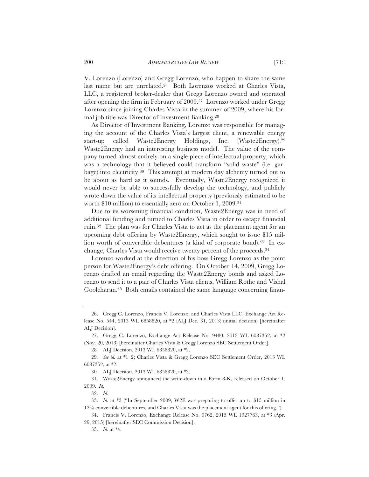V. Lorenzo (Lorenzo) and Gregg Lorenzo, who happen to share the same last name but are unrelated.26 Both Lorenzos worked at Charles Vista, LLC, a registered broker-dealer that Gregg Lorenzo owned and operated after opening the firm in February of 2009.27 Lorenzo worked under Gregg Lorenzo since joining Charles Vista in the summer of 2009, where his formal job title was Director of Investment Banking.28

As Director of Investment Banking, Lorenzo was responsible for managing the account of the Charles Vista's largest client, a renewable energy start-up called Waste2Energy Holdings, Inc. (Waste2Energy).29 Waste2Energy had an interesting business model. The value of the company turned almost entirely on a single piece of intellectual property, which was a technology that it believed could transform "solid waste" (i.e. garbage) into electricity.30 This attempt at modern day alchemy turned out to be about as hard as it sounds. Eventually, Waste2Energy recognized it would never be able to successfully develop the technology, and publicly wrote down the value of its intellectual property (previously estimated to be worth \$10 million) to essentially zero on October 1, 2009.31

Due to its worsening financial condition, Waste2Energy was in need of additional funding and turned to Charles Vista in order to escape financial ruin.32 The plan was for Charles Vista to act as the placement agent for an upcoming debt offering by Waste2Energy, which sought to issue \$15 million worth of convertible debentures (a kind of corporate bond).33 In exchange, Charles Vista would receive twenty percent of the proceeds.34

Lorenzo worked at the direction of his boss Gregg Lorenzo as the point person for Waste2Energy's debt offering. On October 14, 2009, Gregg Lorenzo drafted an email regarding the Waste2Energy bonds and asked Lorenzo to send it to a pair of Charles Vista clients, William Rothe and Vishal Goolcharan.35 Both emails contained the same language concerning finan-

<sup>26.</sup> Gregg C. Lorenzo, Francis V. Lorenzo, and Charles Vista LLC, Exchange Act Release No. 544, 2013 WL 6858820, at \*2 (ALJ Dec. 31, 2013) (initial decision) [hereinafter ALJ Decision].

<sup>27.</sup> Gregg C. Lorenzo, Exchange Act Release No. 9480, 2013 WL 6087352, at \*2 (Nov. 20, 2013) [hereinafter Charles Vista & Gregg Lorenzo SEC Settlement Order].

<sup>28</sup>*.* ALJ Decision, 2013 WL 6858820, at \*2.

<sup>29</sup>*. See id.* at \*1–2; Charles Vista & Gregg Lorenzo SEC Settlement Order, 2013 WL 6087352, at \*2.

<sup>30</sup>*.* ALJ Decision, 2013 WL 6858820, at \*3.

<sup>31.</sup> Waste2Energy announced the write-down in a Form 8-K, released on October 1, 2009. *Id.*

<sup>32.</sup> *Id.*

<sup>33.</sup> *Id.* at \*3 ("In September 2009, W2E was preparing to offer up to \$15 million in 12% convertible debentures, and Charles Vista was the placement agent for this offering.").

<sup>34.</sup> Francis V. Lorenzo, Exchange Release No. 9762, 2015 WL 1927763, at \*3 (Apr. 29, 2015) [hereinafter SEC Commission Decision].

<sup>35.</sup> *Id.* at \*4.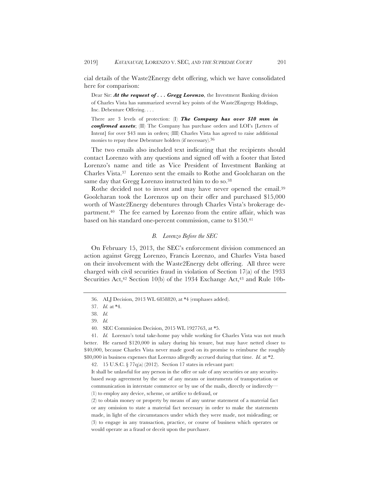cial details of the Waste2Energy debt offering, which we have consolidated here for comparison:

Dear Sir: *At the request of . . . Gregg Lorenzo*, the Investment Banking division of Charles Vista has summarized several key points of the Waste2Engergy Holdings, Inc. Debenture Offering. . . .

There are 3 levels of protection: (I) *The Company has over \$10 mm in confirmed assets*; (II) The Company has purchase orders and LOI's [Letters of Intent] for over \$43 mm in orders; (III) Charles Vista has agreed to raise additional monies to repay these Debenture holders (if necessary).36

The two emails also included text indicating that the recipients should contact Lorenzo with any questions and signed off with a footer that listed Lorenzo's name and title as Vice President of Investment Banking at Charles Vista.37 Lorenzo sent the emails to Rothe and Goolcharan on the same day that Gregg Lorenzo instructed him to do so.<sup>38</sup>

Rothe decided not to invest and may have never opened the email.39 Goolcharan took the Lorenzos up on their offer and purchased \$15,000 worth of Waste2Energy debentures through Charles Vista's brokerage department.40 The fee earned by Lorenzo from the entire affair, which was based on his standard one-percent commission, came to \$150.41

# *B. Lorenzo Before the SEC*

On February 15, 2013, the SEC's enforcement division commenced an action against Gregg Lorenzo, Francis Lorenzo, and Charles Vista based on their involvement with the Waste2Energy debt offering. All three were charged with civil securities fraud in violation of Section 17(a) of the 1933 Securities Act,<sup>42</sup> Section 10(b) of the 1934 Exchange Act,<sup>43</sup> and Rule 10b-

42. 15 U.S.C. § 77q(a) (2012). Section 17 states in relevant part:

<sup>36.</sup> ALJ Decision, 2013 WL 6858820, at \*4 (emphases added).

<sup>37.</sup> *Id.* at \*4.

<sup>38.</sup> *Id.*

<sup>39.</sup> *Id.*

<sup>40</sup>*.* SEC Commission Decision, 2015 WL 1927763, at \*5.

<sup>41.</sup> *Id.* Lorenzo's total take-home pay while working for Charles Vista was not much better. He earned \$120,000 in salary during his tenure, but may have netted closer to \$40,000, because Charles Vista never made good on its promise to reimburse the roughly \$80,000 in business expenses that Lorenzo allegedly accrued during that time. *Id.* at \*2.

It shall be unlawful for any person in the offer or sale of any securities or any securitybased swap agreement by the use of any means or instruments of transportation or communication in interstate commerce or by use of the mails, directly or indirectly— (1) to employ any device, scheme, or artifice to defraud, or

<sup>(2)</sup> to obtain money or property by means of any untrue statement of a material fact or any omission to state a material fact necessary in order to make the statements made, in light of the circumstances under which they were made, not misleading; or (3) to engage in any transaction, practice, or course of business which operates or would operate as a fraud or deceit upon the purchaser.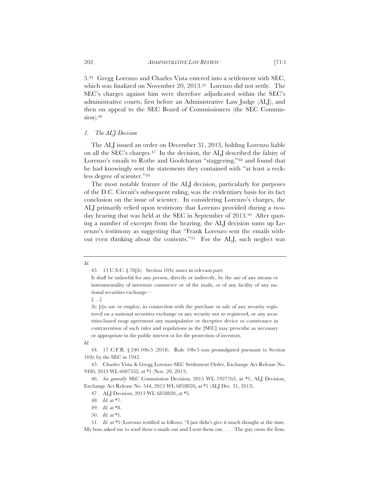5.44 Gregg Lorenzo and Charles Vista entered into a settlement with SEC, which was finalized on November 20, 2013.45 Lorenzo did not settle. The SEC's charges against him were therefore adjudicated within the SEC's administrative courts, first before an Administrative Law Judge (ALJ), and then on appeal to the SEC Board of Commissioners (the SEC Commis $sion$ ).  $46$ 

#### *1. The ALJ Decision*

The ALJ issued an order on December 31, 2013, holding Lorenzo liable on all the SEC's charges.47 In the decision, the ALJ described the falsity of Lorenzo's emails to Rothe and Goolcharan "staggering,"48 and found that he had knowingly sent the statements they contained with "at least a reckless degree of scienter."49

The most notable feature of the ALJ decision, particularly for purposes of the D.C. Circuit's subsequent ruling, was the evidentiary basis for its fact conclusion on the issue of scienter. In considering Lorenzo's charges, the ALJ primarily relied upon testimony that Lorenzo provided during a twoday hearing that was held at the SEC in September of 2013.50 After quoting a number of excerpts from the hearing, the ALJ decision sums up Lorenzo's testimony as suggesting that "Frank Lorenzo sent the emails without even thinking about the contents."51 For the ALJ, such neglect was

*Id.*

*Id.*

<sup>43. 15</sup> U.S.C. § 78j(b). Section 10(b) states in relevant part:

It shall be unlawful for any person, directly or indirectly, by the use of any means or instrumentality of interstate commerce or of the mails, or of any facility of any national securities exchange—

 $\left[ \ldots \right]$ 

<sup>(</sup>b) [t]o use or employ, in connection with the purchase or sale of any security registered on a national securities exchange or any security not so registered, or any securities-based swap agreement any manipulative or deceptive device or contrivance in contravention of such rules and regulations as the [SEC] may prescribe as necessary or appropriate in the public interest or for the protection of investors.

<sup>44. 17</sup> C.F.R. § 240.10b-5 (2018). Rule 10b-5 was promulgated pursuant to Section 10(b) by the SEC in 1942.

<sup>45.</sup> Charles Vista & Gregg Lorenzo SEC Settlement Order, Exchange Act Release No. 9480, 2013 WL 6087352, at \*1 (Nov. 20, 2013).

<sup>46.</sup> *See generally* SEC Commission Decision, 2015 WL 1927763, at \*1; ALJ Decision, Exchange Act Release No. 544, 2013 WL 6858820, at \*1 (ALJ Dec. 31, 2013).

<sup>47.</sup> ALJ Decision, 2013 WL 6858820, at \*5.

<sup>48.</sup> *Id.* at \*7.

<sup>49.</sup> *Id.* at \*8.

<sup>50.</sup> *Id.* at \*1.

<sup>51.</sup> *Id.* at \*5 (Lorenzo testified as follows: "I just didn't give it much thought at the time. My boss asked me to send these e-mails out and I sent them out. . . . The guy owns the firm.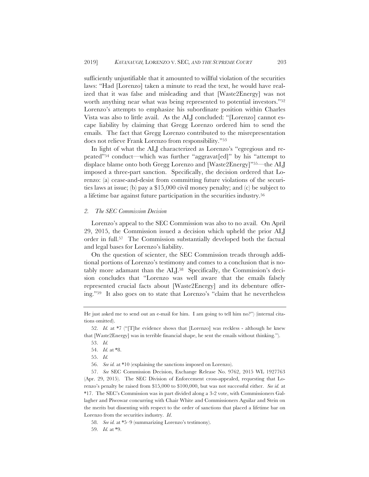sufficiently unjustifiable that it amounted to willful violation of the securities laws: "Had [Lorenzo] taken a minute to read the text, he would have realized that it was false and misleading and that [Waste2Energy] was not worth anything near what was being represented to potential investors."52 Lorenzo's attempts to emphasize his subordinate position within Charles Vista was also to little avail. As the ALJ concluded: "[Lorenzo] cannot escape liability by claiming that Gregg Lorenzo ordered him to send the emails. The fact that Gregg Lorenzo contributed to the misrepresentation does not relieve Frank Lorenzo from responsibility."53

In light of what the ALJ characterized as Lorenzo's "egregious and repeated"54 conduct—which was further "aggravat[ed]" by his "attempt to displace blame onto both Gregg Lorenzo and [Waste2Energy]"55—the ALJ imposed a three-part sanction. Specifically, the decision ordered that Lorenzo: (a) cease-and-desist from committing future violations of the securities laws at issue; (b) pay a \$15,000 civil money penalty; and (c) be subject to a lifetime bar against future participation in the securities industry.56

#### *2. The SEC Commission Decision*

Lorenzo's appeal to the SEC Commission was also to no avail. On April 29, 2015, the Commission issued a decision which upheld the prior ALJ order in full.57 The Commission substantially developed both the factual and legal bases for Lorenzo's liability.

On the question of scienter, the SEC Commission treads through additional portions of Lorenzo's testimony and comes to a conclusion that is notably more adamant than the ALJ.58 Specifically, the Commission's decision concludes that "Lorenzo was well aware that the emails falsely represented crucial facts about [Waste2Energy] and its debenture offering."59 It also goes on to state that Lorenzo's "claim that he nevertheless

56. *See id.* at \*10 (explaining the sanctions imposed on Lorenzo).

57. *See* SEC Commission Decision, Exchange Release No. 9762, 2015 WL 1927763 (Apr. 29, 2015). The SEC Division of Enforcement cross-appealed, requesting that Lorenzo's penalty be raised from \$15,000 to \$100,000, but was not successful either. *See id.* at \*17. The SEC's Commission was in part divided along a 3-2 vote, with Commissioners Gallagher and Piwowar concurring with Chair White and Commissioners Aguilar and Stein on the merits but dissenting with respect to the order of sanctions that placed a lifetime bar on Lorenzo from the securities industry. *Id*.

He just asked me to send out an e-mail for him. I am going to tell him no?") (internal citations omitted).

<sup>52.</sup> *Id.* at \*7 ("[T]he evidence shows that [Lorenzo] was reckless - although he knew that [Waste2Energy] was in terrible financial shape, he sent the emails without thinking.").

<sup>53.</sup> *Id.*

<sup>54.</sup> *Id.* at \*8.

<sup>55.</sup> *Id.*

<sup>58.</sup> *See id.* at \*5–9 (summarizing Lorenzo's testimony).

<sup>59.</sup> *Id.* at \*9.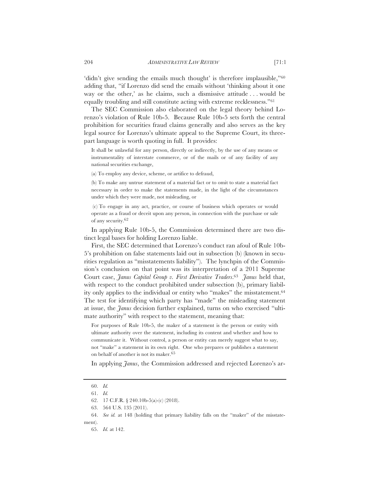'didn't give sending the emails much thought' is therefore implausible,"<sup>60</sup> adding that, "if Lorenzo did send the emails without 'thinking about it one way or the other,' as he claims, such a dismissive attitude . . . would be equally troubling and still constitute acting with extreme recklessness."61

The SEC Commission also elaborated on the legal theory behind Lorenzo's violation of Rule 10b-5. Because Rule 10b-5 sets forth the central prohibition for securities fraud claims generally and also serves as the key legal source for Lorenzo's ultimate appeal to the Supreme Court, its threepart language is worth quoting in full. It provides:

It shall be unlawful for any person, directly or indirectly, by the use of any means or instrumentality of interstate commerce, or of the mails or of any facility of any national securities exchange,

(a) To employ any device, scheme, or artifice to defraud,

(b) To make any untrue statement of a material fact or to omit to state a material fact necessary in order to make the statements made, in the light of the circumstances under which they were made, not misleading, or

 (c) To engage in any act, practice, or course of business which operates or would operate as a fraud or deceit upon any person, in connection with the purchase or sale of any security.62

In applying Rule 10b-5, the Commission determined there are two distinct legal bases for holding Lorenzo liable.

First, the SEC determined that Lorenzo's conduct ran afoul of Rule 10b-5's prohibition on false statements laid out in subsection (b) (known in securities regulation as "misstatements liability"). The lynchpin of the Commission's conclusion on that point was its interpretation of a 2011 Supreme Court case, *Janus Capital Group v. First Derivative Traders*.63 *Janus* held that, with respect to the conduct prohibited under subsection (b), primary liability only applies to the individual or entity who "makes" the misstatement.64 The test for identifying which party has "made" the misleading statement at issue, the *Janus* decision further explained, turns on who exercised "ultimate authority" with respect to the statement, meaning that:

For purposes of Rule 10b-5, the maker of a statement is the person or entity with ultimate authority over the statement, including its content and whether and how to communicate it. Without control, a person or entity can merely suggest what to say, not "make" a statement in its own right. One who prepares or publishes a statement on behalf of another is not its maker.65

In applying *Janus*, the Commission addressed and rejected Lorenzo's ar-

<sup>60.</sup> *Id.*

<sup>61.</sup> *Id.*

<sup>62. 17</sup> C.F.R. § 240.10b-5(a)-(c) (2018).

<sup>63. 564</sup> U.S. 135 (2011).

<sup>64.</sup> *See id.* at 148 (holding that primary liability falls on the "maker" of the misstatement).

<sup>65.</sup> *Id.* at 142.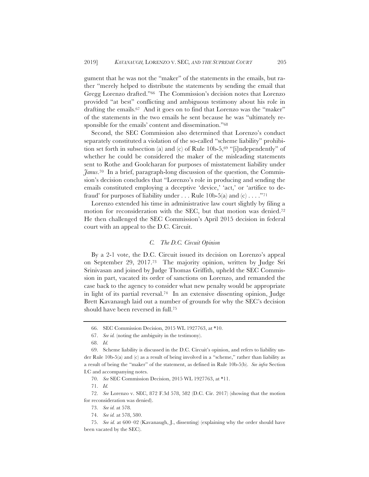gument that he was not the "maker" of the statements in the emails, but rather "merely helped to distribute the statements by sending the email that Gregg Lorenzo drafted."66 The Commission's decision notes that Lorenzo provided "at best" conflicting and ambiguous testimony about his role in drafting the emails.<sup>67</sup> And it goes on to find that Lorenzo was the "maker" of the statements in the two emails he sent because he was "ultimately responsible for the emails' content and dissemination."68

Second, the SEC Commission also determined that Lorenzo's conduct separately constituted a violation of the so-called "scheme liability" prohibition set forth in subsection (a) and (c) of Rule 10b-5, $69$  "[i]ndependently" of whether he could be considered the maker of the misleading statements sent to Rothe and Goolcharan for purposes of misstatement liability under *Janus*.70 In a brief, paragraph-long discussion of the question, the Commission's decision concludes that "Lorenzo's role in producing and sending the emails constituted employing a deceptive 'device,' 'act,' or 'artifice to defraud' for purposes of liability under ... Rule 10b-5(a) and  $(c)$  ...."<sup>71</sup>

Lorenzo extended his time in administrative law court slightly by filing a motion for reconsideration with the SEC, but that motion was denied.72 He then challenged the SEC Commission's April 2015 decision in federal court with an appeal to the D.C. Circuit.

# *C. The D.C. Circuit Opinion*

By a 2-1 vote, the D.C. Circuit issued its decision on Lorenzo's appeal on September 29, 2017.73 The majority opinion, written by Judge Sri Srinivasan and joined by Judge Thomas Griffith, upheld the SEC Commission in part, vacated its order of sanctions on Lorenzo, and remanded the case back to the agency to consider what new penalty would be appropriate in light of its partial reversal.74 In an extensive dissenting opinion, Judge Brett Kavanaugh laid out a number of grounds for why the SEC's decision should have been reversed in full.75

70. *See* SEC Commission Decision, 2015 WL 1927763, at \*11.

71. *Id.*

72. *See* Lorenzo v. SEC, 872 F.3d 578, 582 (D.C. Cir. 2017) (showing that the motion for reconsideration was denied).

74. *See id.* at 578, 580.

75. *See id.* at 600–02 (Kavanaugh, J., dissenting) (explaining why the order should have been vacated by the SEC).

<sup>66.</sup> SEC Commission Decision, 2015 WL 1927763, at \*10.

<sup>67.</sup> *See id.* (noting the ambiguity in the testimony).

<sup>68.</sup> *Id.*

<sup>69.</sup> Scheme liability is discussed in the D.C. Circuit's opinion, and refers to liability under Rule 10b-5(a) and (c) as a result of being involved in a "scheme," rather than liability as a result of being the "maker" of the statement, as defined in Rule 10b-5(b). *See infra* Section I.C and accompanying notes.

<sup>73.</sup> *See id.* at 578.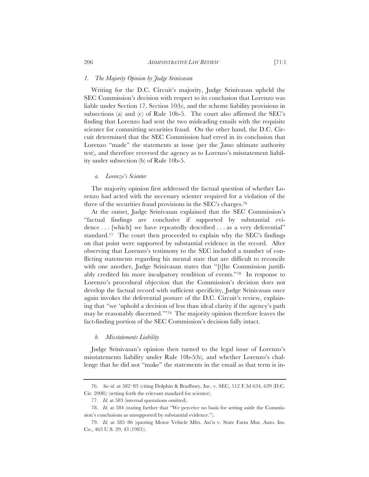Writing for the D.C. Circuit's majority, Judge Srinivasan upheld the SEC Commission's decision with respect to its conclusion that Lorenzo was liable under Section 17, Section 10(b), and the scheme liability provisions in subsections (a) and (c) of Rule 10b-5. The court also affirmed the SEC's finding that Lorenzo had sent the two misleading emails with the requisite scienter for committing securities fraud. On the other hand, the D.C. Circuit determined that the SEC Commission had erred in its conclusion that Lorenzo "made" the statements at issue (per the *Janus* ultimate authority test), and therefore reversed the agency as to Lorenzo's misstatement liability under subsection (b) of Rule 10b-5.

#### *a. Lorenzo's Scienter*

The majority opinion first addressed the factual question of whether Lorenzo had acted with the necessary scienter required for a violation of the three of the securities fraud provisions in the SEC's charges.76

At the outset, Judge Srinivasan explained that the SEC Commission's "factual findings are conclusive if supported by substantial evidence . . . [which] we have repeatedly described . . . as a very deferential" standard.77 The court then proceeded to explain why the SEC's findings on that point were supported by substantial evidence in the record. After observing that Lorenzo's testimony to the SEC included a number of conflicting statements regarding his mental state that are difficult to reconcile with one another, Judge Srinivasan states that "[t]he Commission justifiably credited his more inculpatory rendition of events."78 In response to Lorenzo's procedural objection that the Commission's decision does not develop the factual record with sufficient specificity, Judge Srinivasan once again invokes the deferential posture of the D.C. Circuit's review, explaining that "we 'uphold a decision of less than ideal clarity if the agency's path may be reasonably discerned.'"79 The majority opinion therefore leaves the fact-finding portion of the SEC Commission's decision fully intact.

# *b. Misstatements Liability*

Judge Srinivasan's opinion then turned to the legal issue of Lorenzo's misstatements liability under Rule 10b-5(b), and whether Lorenzo's challenge that he did not "make" the statements in the email as that term is in-

<sup>76.</sup> *See id.* at 582–83 (citing Dolphin & Bradbury, Inc. v. SEC, 512 F.3d 634, 639 (D.C. Cir. 2008)) (setting forth the relevant standard for scienter).

<sup>77.</sup> *Id.* at 583 (internal quotations omitted).

<sup>78.</sup> *Id.* at 584 (stating further that "We perceive no basis for setting aside the Commission's conclusions as unsupported by substantial evidence.").

<sup>79.</sup> *Id.* at 585–86 (quoting Motor Vehicle Mfrs. Ass'n v. State Farm Mut. Auto. Ins. Co., 463 U.S. 29, 43 (1983)).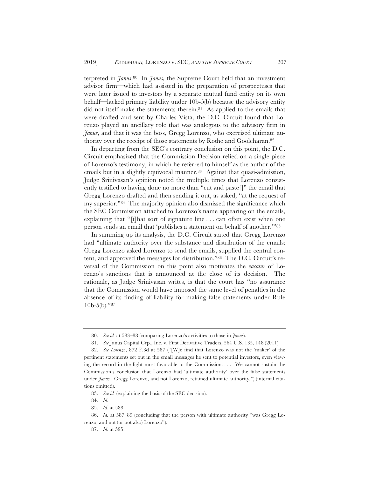terpreted in *Janus*.80 In *Janus,* the Supreme Court held that an investment advisor firm—which had assisted in the preparation of prospectuses that were later issued to investors by a separate mutual fund entity on its own behalf—lacked primary liability under 10b-5(b) because the advisory entity did not itself make the statements therein.81 As applied to the emails that were drafted and sent by Charles Vista, the D.C. Circuit found that Lorenzo played an ancillary role that was analogous to the advisory firm in *Janus*, and that it was the boss, Gregg Lorenzo, who exercised ultimate authority over the receipt of those statements by Rothe and Goolcharan.82

In departing from the SEC's contrary conclusion on this point, the D.C. Circuit emphasized that the Commission Decision relied on a single piece of Lorenzo's testimony, in which he referred to himself as the author of the emails but in a slightly equivocal manner.<sup>83</sup> Against that quasi-admission, Judge Srinivasan's opinion noted the multiple times that Lorenzo consistently testified to having done no more than "cut and paste[]" the email that Gregg Lorenzo drafted and then sending it out, as asked, "at the request of my superior."84 The majority opinion also dismissed the significance which the SEC Commission attached to Lorenzo's name appearing on the emails, explaining that "[t]hat sort of signature line . . . can often exist when one person sends an email that 'publishes a statement on behalf of another.'"85

In summing up its analysis, the D.C. Circuit stated that Gregg Lorenzo had "ultimate authority over the substance and distribution of the emails: Gregg Lorenzo asked Lorenzo to send the emails, supplied the central content, and approved the messages for distribution."86 The D.C. Circuit's reversal of the Commission on this point also motivates the *vacatur* of Lorenzo's sanctions that is announced at the close of its decision. The rationale, as Judge Srinivasan writes, is that the court has "no assurance that the Commission would have imposed the same level of penalties in the absence of its finding of liability for making false statements under Rule  $10b-5(b)$ ."87

<sup>80.</sup> *See id.* at 583–88 (comparing Lorenzo's activities to those in *Janus*).

<sup>81.</sup> *See* Janus Capital Grp., Inc. v. First Derivative Traders, 564 U.S*.* 135, 148 (2011).

<sup>82.</sup> *See Lorenzo*, 872 F.3d at 587 ("[W]e find that Lorenzo was not the 'maker' of the pertinent statements set out in the email messages he sent to potential investors, even viewing the record in the light most favorable to the Commission. . . . We cannot sustain the Commission's conclusion that Lorenzo had 'ultimate authority' over the false statements under *Janus.* Gregg Lorenzo, and not Lorenzo, retained ultimate authority*.*") (internal citations omitted).

<sup>83.</sup> *See id.* (explaining the basis of the SEC decision).

<sup>84.</sup> *Id.*

<sup>85.</sup> *Id.* at 588.

<sup>86.</sup> *Id.* at 587–89 (concluding that the person with ultimate authority "was Gregg Lorenzo, and not (or not also) Lorenzo").

<sup>87.</sup> *Id.* at 595.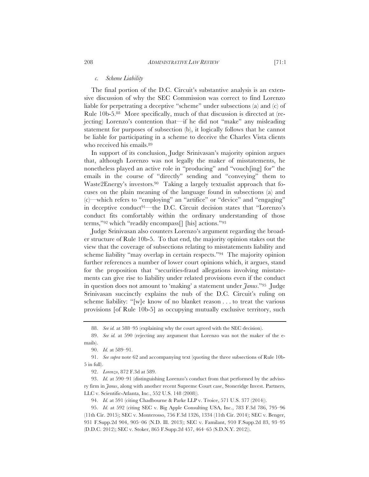#### *c. Scheme Liability*

The final portion of the D.C. Circuit's substantive analysis is an extensive discussion of why the SEC Commission was correct to find Lorenzo liable for perpetrating a deceptive "scheme" under subsections (a) and (c) of Rule 10b-5.88 More specifically, much of that discussion is directed at (rejecting) Lorenzo's contention that—if he did not "make" any misleading statement for purposes of subsection (b), it logically follows that he cannot be liable for participating in a scheme to deceive the Charles Vista clients who received his emails.<sup>89</sup>

In support of its conclusion, Judge Srinivasan's majority opinion argues that, although Lorenzo was not legally the maker of misstatements, he nonetheless played an active role in "producing" and "vouch[ing] for" the emails in the course of "directly" sending and "conveying" them to Waste2Energy's investors.<sup>90</sup> Taking a largely textualist approach that focuses on the plain meaning of the language found in subsections (a) and (c)—which refers to "employing" an "artifice" or "device" and "engaging" in deceptive conduct91—the D.C. Circuit decision states that "Lorenzo's conduct fits comfortably within the ordinary understanding of those terms,"92 which "readily encompass[] [his] actions."93

Judge Srinivasan also counters Lorenzo's argument regarding the broader structure of Rule 10b-5. To that end, the majority opinion stakes out the view that the coverage of subsections relating to misstatements liability and scheme liability "may overlap in certain respects."94 The majority opinion further references a number of lower court opinions which, it argues, stand for the proposition that "securities-fraud allegations involving misstatements can give rise to liability under related provisions even if the conduct in question does not amount to 'making' a statement under *Janus*."95 Judge Srinivasan succinctly explains the nub of the D.C. Circuit's ruling on scheme liability: "[w]e know of no blanket reason . . . to treat the various provisions [of Rule 10b-5] as occupying mutually exclusive territory, such

<sup>88.</sup> *See id.* at 588–95 (explaining why the court agreed with the SEC decision).

<sup>89.</sup> *See id.* at 590 (rejecting any argument that Lorenzo was not the maker of the emails).

<sup>90.</sup> *Id.* at 589–91.

<sup>91.</sup> *See supra* note 62 and accompanying text (quoting the three subsections of Rule 10b-5 in full).

<sup>92.</sup> *Lorenzo*, 872 F.3d at 589.

<sup>93.</sup> *Id.* at 590–91 (distinguishing Lorenzo's conduct from that performed by the advisory firm in *Janus*, along with another recent Supreme Court case, Stoneridge Invest. Partners, LLC v. Scientific-Atlanta, Inc*.*, 552 U.S. 148 (2008)).

<sup>94.</sup> *Id.* at 591 (citing Chadbourne & Parke LLP v. Troice, 571 U.S. 377 (2014)).

<sup>95.</sup> *Id.* at 592 (citing SEC v. Big Apple Consulting USA, Inc., 783 F.3d 786, 795–96 (11th Cir. 2015); SEC v. Monterosso, 756 F.3d 1326, 1334 (11th Cir. 2014); SEC v. Benger, 931 F.Supp.2d 904, 905–06 (N.D. Ill. 2013); SEC v. Familant, 910 F.Supp.2d 83, 93–95 (D.D.C. 2012); SEC v. Stoker, 865 F.Supp.2d 457, 464–65 (S.D.N.Y. 2012)).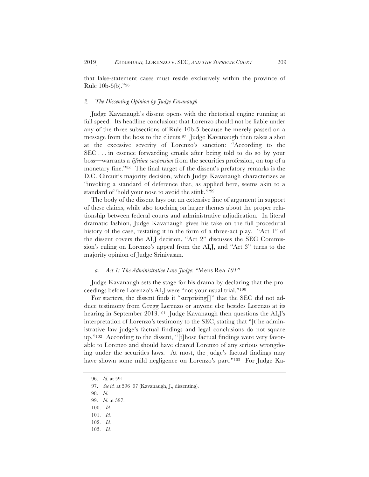that false-statement cases must reside exclusively within the province of Rule 10b-5(b)."96

#### *2. The Dissenting Opinion by Judge Kavanaugh*

Judge Kavanaugh's dissent opens with the rhetorical engine running at full speed. Its headline conclusion: that Lorenzo should not be liable under any of the three subsections of Rule 10b-5 because he merely passed on a message from the boss to the clients.97 Judge Kavanaugh then takes a shot at the excessive severity of Lorenzo's sanction: "According to the SEC . . . in essence forwarding emails after being told to do so by your boss—warrants a *lifetime suspension* from the securities profession, on top of a monetary fine."98 The final target of the dissent's prefatory remarks is the D.C. Circuit's majority decision, which Judge Kavanaugh characterizes as "invoking a standard of deference that, as applied here, seems akin to a standard of 'hold your nose to avoid the stink.'"99

The body of the dissent lays out an extensive line of argument in support of these claims, while also touching on larger themes about the proper relationship between federal courts and administrative adjudication. In literal dramatic fashion, Judge Kavanaugh gives his take on the full procedural history of the case, restating it in the form of a three-act play. "Act 1" of the dissent covers the ALJ decision, "Act 2" discusses the SEC Commission's ruling on Lorenzo's appeal from the ALJ, and "Act 3" turns to the majority opinion of Judge Srinivasan.

#### *a. Act 1: The Administrative Law Judge: "*Mens Rea *101"*

Judge Kavanaugh sets the stage for his drama by declaring that the proceedings before Lorenzo's ALJ were "not your usual trial."100

For starters, the dissent finds it "surprising[]" that the SEC did not adduce testimony from Gregg Lorenzo or anyone else besides Lorenzo at its hearing in September 2013.<sup>101</sup> Judge Kavanaugh then questions the ALJ's interpretation of Lorenzo's testimony to the SEC, stating that "[t]he administrative law judge's factual findings and legal conclusions do not square up."102 According to the dissent, "[t]hose factual findings were very favorable to Lorenzo and should have cleared Lorenzo of any serious wrongdoing under the securities laws. At most, the judge's factual findings may have shown some mild negligence on Lorenzo's part."<sup>103</sup> For Judge Ka-

<sup>96.</sup> *Id.* at 591.

<sup>97.</sup> *See id.* at 596–97 (Kavanaugh, J., dissenting).

<sup>98.</sup> *Id.*

<sup>99.</sup> *Id.* at 597.

<sup>100.</sup> *Id.*

<sup>101.</sup> *Id.*

<sup>102.</sup> *Id.*

<sup>103.</sup> *Id.*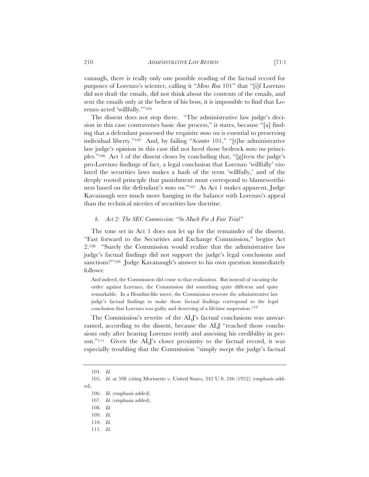vanaugh, there is really only one possible reading of the factual record for purposes of Lorenzo's scienter, calling it "*Mens Rea* 101" that "[i]f Lorenzo did not draft the emails, did not think about the contents of the emails, and sent the emails only at the behest of his boss, it is impossible to find that Lorenzo acted 'willfully.'"104

The dissent does not stop there. "The administrative law judge's decision in this case contravenes basic due process," it states, because "[a] finding that a defendant possessed the requisite *mens rea* is essential to preserving individual liberty."105 And, by failing "*Scienter* 101," "[t]he administrative law judge's opinion in this case did not heed those bedrock *mens rea* principles."106 Act 1 of the dissent closes by concluding that, "[g]iven the judge's pro-Lorenzo findings of fact, a legal conclusion that Lorenzo 'willfully' violated the securities laws makes a hash of the term 'willfully,' and of the deeply rooted principle that punishment must correspond to blameworthiness based on the defendant's *mens rea.*"107 As Act 1 makes apparent, Judge Kavanaugh sees much more hanging in the balance with Lorenzo's appeal than the technical niceties of securities law doctrine.

### *b. Act 2: The SEC Commission: "So Much For A Fair Trial"*

The tone set in Act 1 does not let up for the remainder of the dissent. "Fast forward to the Securities and Exchange Commission," begins Act 2.108 "Surely the Commission would realize that the administrative law judge's factual findings did not support the judge's legal conclusions and sanctions?"109 Judge Kavanaugh's answer to his own question immediately follows:

And indeed, the Commission did come to that realization. But instead of vacating the order against Lorenzo, the Commission did something quite different and quite remarkable. In a Houdini-like move, the Commission rewrote the administrative law judge's factual findings to make those factual findings correspond to the legal conclusion that Lorenzo was guilty and deserving of a lifetime suspension.<sup>110</sup>

The Commission's rewrite of the ALJ's factual conclusions was unwarranted, according to the dissent, because the ALJ "reached those conclusions only after hearing Lorenzo testify and assessing his credibility in person."111 Given the ALJ's closer proximity to the factual record, it was especially troubling that the Commission "simply swept the judge's factual

<sup>104.</sup> *Id.*

<sup>105.</sup> *Id.* at 598 (citing Morissette v. United States, 342 U.S. 246 (1952)) (emphasis added).

<sup>106.</sup> *Id.* (emphasis added).

<sup>107.</sup> *Id.* (emphasis added).

<sup>108.</sup> *Id.*

<sup>109.</sup> *Id.*

<sup>110.</sup> *Id.*

<sup>111.</sup> *Id.*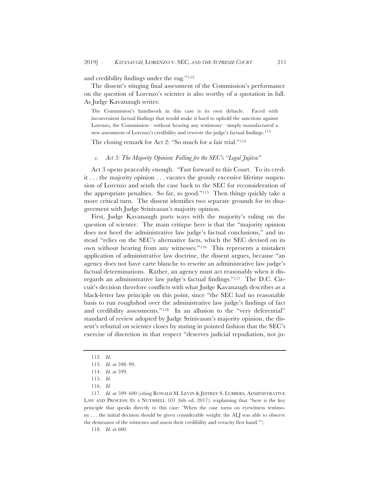and credibility findings under the rug."112

The dissent's stinging final assessment of the Commission's performance on the question of Lorenzo's scienter is also worthy of a quotation in full. As Judge Kavanaugh writes:

The Commission's handiwork in this case is its own debacle. Faced with inconvenient factual findings that would make it hard to uphold the sanctions against Lorenzo, the Commission—without hearing any testimony—simply manufactured a new assessment of Lorenzo's credibility and rewrote the judge's factual findings.<sup>113</sup>

The closing remark for Act 2: "So much for a fair trial."114

*c. Act 3: The Majority Opinion: Falling for the SEC's "Legal Jujitsu"* 

Act 3 opens peaceably enough. "Fast forward to this Court. To its credit . . . the majority opinion . . . vacates the grossly excessive lifetime suspension of Lorenzo and sends the case back to the SEC for reconsideration of the appropriate penalties. So far, so good."115 Then things quickly take a more critical turn. The dissent identifies two separate grounds for its disagreement with Judge Srinivasan's majority opinion.

First, Judge Kavanaugh parts ways with the majority's ruling on the question of scienter. The main critique here is that the "majority opinion does not heed the administrative law judge's factual conclusions," and instead "relies on the SEC's alternative facts, which the SEC devised on its own without hearing from any witnesses."116 This represents a mistaken application of administrative law doctrine, the dissent argues, because "an agency does not have carte blanche to rewrite an administrative law judge's factual determinations. Rather, an agency must act reasonably when it disregards an administrative law judge's factual findings."117 The D.C. Circuit's decision therefore conflicts with what Judge Kavanaugh describes as a black-letter law principle on this point, since "the SEC had no reasonable basis to run roughshod over the administrative law judge's findings of fact and credibility assessments."118 In an allusion to the "very deferential" standard of review adopted by Judge Srinivasan's majority opinion, the dissent's rebuttal on scienter closes by stating in pointed fashion that the SEC's exercise of discretion in that respect "deserves judicial repudiation, not ju-

118. *Id.* at 600.

<sup>112.</sup> *Id.*

<sup>113.</sup> *Id.* at 598–99.

<sup>114.</sup> *Id.* at 599.

<sup>115.</sup> *Id.*

<sup>116.</sup> *Id.*

<sup>117.</sup> *Id.* at 599–600 (citing RONALD M. LEVIN & JEFFREY S. LUBBERS*,* ADMINISTRATIVE LAW AND PROCESS: IN A NUTSHELL 101 (6th ed. 2017)) (explaining that "here is the key principle that speaks directly to this case: 'When the case turns on eyewitness testimony . . . the initial decision should be given considerable weight: the ALJ was able to observe the demeanor of the witnesses and assess their credibility and veracity first hand.'").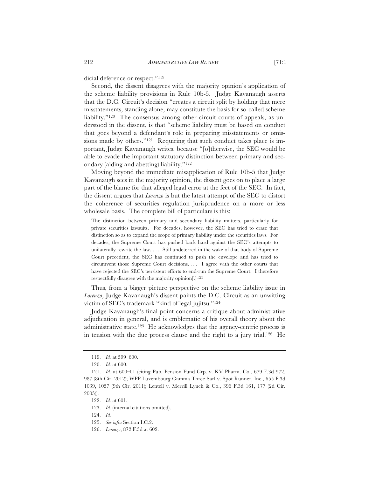dicial deference or respect."119

Second, the dissent disagrees with the majority opinion's application of the scheme liability provisions in Rule 10b-5. Judge Kavanaugh asserts that the D.C. Circuit's decision "creates a circuit split by holding that mere misstatements, standing alone, may constitute the basis for so-called scheme liability."<sup>120</sup> The consensus among other circuit courts of appeals, as understood in the dissent, is that "scheme liability must be based on conduct that goes beyond a defendant's role in preparing misstatements or omissions made by others."<sup>121</sup> Requiring that such conduct takes place is important, Judge Kavanaugh writes, because "[o]therwise, the SEC would be able to evade the important statutory distinction between primary and secondary (aiding and abetting) liability."122

Moving beyond the immediate misapplication of Rule 10b-5 that Judge Kavanaugh sees in the majority opinion, the dissent goes on to place a large part of the blame for that alleged legal error at the feet of the SEC. In fact, the dissent argues that *Lorenzo* is but the latest attempt of the SEC to distort the coherence of securities regulation jurisprudence on a more or less wholesale basis. The complete bill of particulars is this:

The distinction between primary and secondary liability matters, particularly for private securities lawsuits. For decades, however, the SEC has tried to erase that distinction so as to expand the scope of primary liability under the securities laws. For decades, the Supreme Court has pushed back hard against the SEC's attempts to unilaterally rewrite the law. . . . Still undeterred in the wake of that body of Supreme Court precedent, the SEC has continued to push the envelope and has tried to circumvent those Supreme Court decisions. . . . I agree with the other courts that have rejected the SEC's persistent efforts to end-run the Supreme Court. I therefore respectfully disagree with the majority opinion $[.]^{123}$ 

Thus, from a bigger picture perspective on the scheme liability issue in *Lorenzo*, Judge Kavanaugh's dissent paints the D.C. Circuit as an unwitting victim of SEC's trademark "kind of legal jujitsu."124

Judge Kavanaugh's final point concerns a critique about administrative adjudication in general, and is emblematic of his overall theory about the administrative state.125 He acknowledges that the agency-centric process is in tension with the due process clause and the right to a jury trial.126 He

<sup>119.</sup> *Id.* at 599–600.

<sup>120.</sup> *Id.* at 600.

<sup>121.</sup> *Id.* at 600–01 (citing Pub. Pension Fund Grp. v. KV Pharm. Co., 679 F.3d 972, 987 (8th Cir. 2012); WPP Luxembourg Gamma Three Sarl v. Spot Runner, Inc., 655 F.3d 1039, 1057 (9th Cir. 2011); Lentell v. Merrill Lynch & Co., 396 F.3d 161, 177 (2d Cir. 2005)).

<sup>122.</sup> *Id.* at 601.

<sup>123.</sup> *Id.* (internal citations omitted).

<sup>124.</sup> *Id.*

<sup>125.</sup> *See infra* Section I.C.2.

<sup>126.</sup> *Lorenzo*, 872 F.3d at 602.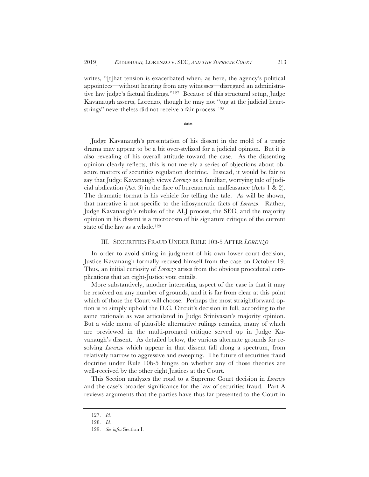writes, "[t]hat tension is exacerbated when, as here, the agency's political appointees—without hearing from any witnesses—disregard an administrative law judge's factual findings."127 Because of this structural setup, Judge Kavanaugh asserts, Lorenzo, though he may not "tug at the judicial heartstrings" nevertheless did not receive a fair process. 128

\*\*\*

Judge Kavanaugh's presentation of his dissent in the mold of a tragic drama may appear to be a bit over-stylized for a judicial opinion. But it is also revealing of his overall attitude toward the case. As the dissenting opinion clearly reflects, this is not merely a series of objections about obscure matters of securities regulation doctrine. Instead, it would be fair to say that Judge Kavanaugh views *Lorenzo* as a familiar, worrying tale of judicial abdication (Act 3) in the face of bureaucratic malfeasance (Acts 1 & 2). The dramatic format is his vehicle for telling the tale. As will be shown, that narrative is not specific to the idiosyncratic facts of *Lorenzo*. Rather, Judge Kavanaugh's rebuke of the ALJ process, the SEC, and the majority opinion in his dissent is a microcosm of his signature critique of the current state of the law as a whole.<sup>129</sup>

#### III. SECURITIES FRAUD UNDER RULE 10B-5 AFTER *LORENZO*

In order to avoid sitting in judgment of his own lower court decision, Justice Kavanaugh formally recused himself from the case on October 19. Thus, an initial curiosity of *Lorenzo* arises from the obvious procedural complications that an eight-Justice vote entails.

More substantively, another interesting aspect of the case is that it may be resolved on any number of grounds, and it is far from clear at this point which of those the Court will choose. Perhaps the most straightforward option is to simply uphold the D.C. Circuit's decision in full, according to the same rationale as was articulated in Judge Srinivasan's majority opinion. But a wide menu of plausible alternative rulings remains, many of which are previewed in the multi-pronged critique served up in Judge Kavanaugh's dissent. As detailed below, the various alternate grounds for resolving *Lorenzo* which appear in that dissent fall along a spectrum, from relatively narrow to aggressive and sweeping. The future of securities fraud doctrine under Rule 10b-5 hinges on whether any of those theories are well-received by the other eight Justices at the Court.

This Section analyzes the road to a Supreme Court decision in *Lorenzo* and the case's broader significance for the law of securities fraud. Part A reviews arguments that the parties have thus far presented to the Court in

<sup>127.</sup> *Id.*

<sup>128.</sup> *Id.*

<sup>129.</sup> *See infra* Section I.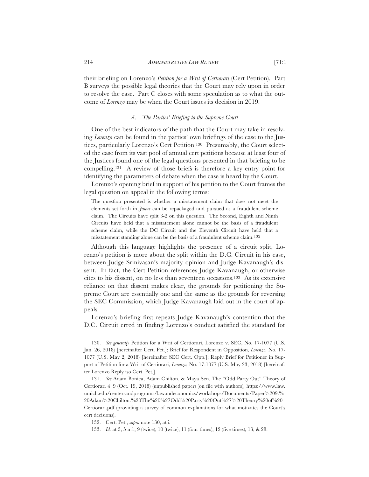their briefing on Lorenzo's *Petition for a Writ of Certiorari* (Cert Petition). Part B surveys the possible legal theories that the Court may rely upon in order to resolve the case. Part C closes with some speculation as to what the outcome of *Lorenzo* may be when the Court issues its decision in 2019.

#### *A. The Parties' Briefing to the Supreme Court*

One of the best indicators of the path that the Court may take in resolving *Lorenzo* can be found in the parties' own briefings of the case to the Justices, particularly Lorenzo's Cert Petition.130 Presumably, the Court selected the case from its vast pool of annual cert petitions because at least four of the Justices found one of the legal questions presented in that briefing to be compelling.131 A review of those briefs is therefore a key entry point for identifying the parameters of debate when the case is heard by the Court.

Lorenzo's opening brief in support of his petition to the Court frames the legal question on appeal in the following terms:

The question presented is whether a misstatement claim that does not meet the elements set forth in *Janus* can be repackaged and pursued as a fraudulent scheme claim. The Circuits have split 3-2 on this question. The Second, Eighth and Ninth Circuits have held that a misstatement alone cannot be the basis of a fraudulent scheme claim, while the DC Circuit and the Eleventh Circuit have held that a misstatement standing alone can be the basis of a fraudulent scheme claim.<sup>132</sup>

Although this language highlights the presence of a circuit split, Lorenzo's petition is more about the split within the D.C. Circuit in his case, between Judge Srinivasan's majority opinion and Judge Kavanaugh's dissent. In fact, the Cert Petition references Judge Kavanaugh, or otherwise cites to his dissent, on no less than seventeen occasions.133 As its extensive reliance on that dissent makes clear, the grounds for petitioning the Supreme Court are essentially one and the same as the grounds for reversing the SEC Commission, which Judge Kavanaugh laid out in the court of appeals.

Lorenzo's briefing first repeats Judge Kavanaugh's contention that the D.C. Circuit erred in finding Lorenzo's conduct satisfied the standard for

<sup>130.</sup> *See generally* Petition for a Writ of Certiorari, Lorenzo v. SEC, No. 17-1077 (U.S. Jan. 26, 2018) [hereinafter Cert. Pet.]; Brief for Respondent in Opposition, *Lorenzo,* No. 17- 1077 (U.S. May 2, 2018) [hereinafter SEC Cert. Opp.]; Reply Brief for Petitioner in Support of Petition for a Writ of Certiorari, *Lorenzo,* No. 17-1077 (U.S. May 23, 2018) [hereinafter Lorenzo Reply iso Cert. Pet.].

<sup>131.</sup> *See* Adam Bonica, Adam Chilton, & Maya Sen, The "Odd Party Out" Theory of Certiorari 4–9 (Oct. 19, 2018) (unpublished paper) (on file with authors), https://www.law. umich.edu/centersandprograms/lawandeconomics/workshops/Documents/Paper%209.% 20Adam%20Chilton.%20The%20%27Odd%20Party%20Out%27%20Theory%20of%20 Certiorari.pdf (providing a survey of common explanations for what motivates the Court's cert decisions).

<sup>132.</sup> Cert. Pet., *supra* note 130, at i*.*

<sup>133.</sup> *Id.* at 5, 5 n.1, 9 (twice), 10 (twice), 11 (four times), 12 (five times), 13, & 28.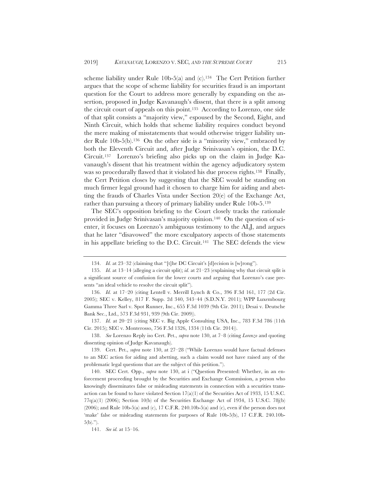scheme liability under Rule 10b-5(a) and (c).134 The Cert Petition further argues that the scope of scheme liability for securities fraud is an important question for the Court to address more generally by expanding on the assertion, proposed in Judge Kavanaugh's dissent, that there is a split among the circuit court of appeals on this point.135 According to Lorenzo, one side of that split consists a "majority view," espoused by the Second, Eight, and Ninth Circuit, which holds that scheme liability requires conduct beyond the mere making of misstatements that would otherwise trigger liability under Rule 10b-5(b).136 On the other side is a "minority view," embraced by both the Eleventh Circuit and, after Judge Srinivasan's opinion, the D.C. Circuit.137 Lorenzo's briefing also picks up on the claim in Judge Kavanaugh's dissent that his treatment within the agency adjudicatory system was so procedurally flawed that it violated his due process rights.138 Finally, the Cert Petition closes by suggesting that the SEC would be standing on much firmer legal ground had it chosen to charge him for aiding and abetting the frauds of Charles Vista under Section 20(e) of the Exchange Act, rather than pursuing a theory of primary liability under Rule 10b-5.139

The SEC's opposition briefing to the Court closely tracks the rationale provided in Judge Srinivasan's majority opinion.140 On the question of scienter, it focuses on Lorenzo's ambiguous testimony to the ALJ, and argues that he later "disavowed" the more exculpatory aspects of those statements in his appellate briefing to the D.C. Circuit.141 The SEC defends the view

137. *Id.* at 20–21 (citing SEC v. Big Apple Consulting USA, Inc., 783 F.3d 786 (11th Cir. 2015); SEC v. Monterosso, 756 F.3d 1326, 1334 (11th Cir. 2014)).

138. *See* Lorenzo Reply iso Cert. Pet., *supra* note 130, at 7–8 (citing *Lorenzo* and quoting dissenting opinion of Judge Kavanaugh).

139. Cert. Pet., *supra* note 130, at 27–28 ("While Lorenzo would have factual defenses to an SEC action for aiding and abetting, such a claim would not have raised any of the problematic legal questions that are the subject of this petition.").

<sup>134.</sup> *Id.* at 23–32 (claiming that "[t]he DC Circuit's [d]ecision is [w]rong").

<sup>135.</sup> *Id.* at 13–14 (alleging a circuit split); *id.* at 21–23 (explaining why that circuit split is a significant source of confusion for the lower courts and arguing that Lorenzo's case presents "an ideal vehicle to resolve the circuit split").

<sup>136.</sup> *Id.* at 17–20 (citing Lentell v. Merrill Lynch & Co., 396 F.3d 161, 177 (2d Cir. 2005); SEC v. Kelley, 817 F. Supp. 2d 340, 343–44 (S.D.N.Y. 2011); WPP Luxembourg Gamma Three Sarl v. Spot Runner, Inc., 655 F.3d 1039 (9th Cir. 2011); Desai v. Deutsche Bank Sec., Ltd., 573 F.3d 931, 939 (9th Cir. 2009)).

<sup>140.</sup> SEC Cert. Opp., *supra* note 130, at i ("Question Presented: Whether, in an enforcement proceeding brought by the Securities and Exchange Commission, a person who knowingly disseminates false or misleading statements in connection with a securities transaction can be found to have violated Section  $17(a)(1)$  of the Securities Act of 1933, 15 U.S.C.  $77q(a)(1)$  (2006); Section 10(b) of the Securities Exchange Act of 1934, 15 U.S.C. 78j(b) (2006); and Rule 10b-5(a) and (c), 17 C.F.R. 240.10b-5(a) and (c), even if the person does not 'make' false or misleading statements for purposes of Rule 10b-5(b), 17 C.F.R. 240.10b- $5(b).$ ").

<sup>141.</sup> *See id.* at 15–16.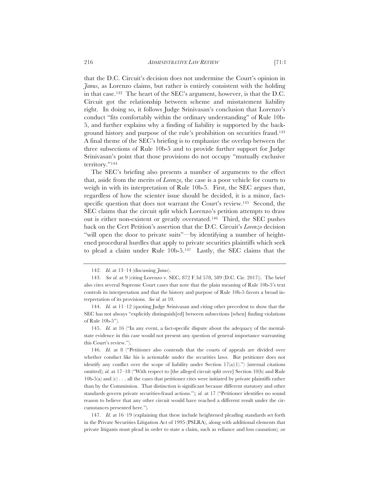that the D.C. Circuit's decision does not undermine the Court's opinion in *Janus*, as Lorenzo claims, but rather is entirely consistent with the holding in that case.142 The heart of the SEC's argument, however, is that the D.C. Circuit got the relationship between scheme and misstatement liability right. In doing so, it follows Judge Srinivasan's conclusion that Lorenzo's conduct "fits comfortably within the ordinary understanding" of Rule 10b-5, and further explains why a finding of liability is supported by the background history and purpose of the rule's prohibition on securities fraud.143 A final theme of the SEC's briefing is to emphasize the overlap between the three subsections of Rule 10b-5 and to provide further support for Judge Srinivasan's point that those provisions do not occupy "mutually exclusive territory."144

The SEC's briefing also presents a number of arguments to the effect that, aside from the merits of *Lorenzo*, the case is a poor vehicle for courts to weigh in with its interpretation of Rule 10b-5. First, the SEC argues that, regardless of how the scienter issue should be decided, it is a minor, factspecific question that does not warrant the Court's review.145 Second, the SEC claims that the circuit split which Lorenzo's petition attempts to draw out is either non-existent or greatly overstated.146 Third, the SEC pushes back on the Cert Petition's assertion that the D.C. Circuit's *Lorenzo* decision "will open the door to private suits"—by identifying a number of heightened procedural hurdles that apply to private securities plaintiffs which seek to plead a claim under Rule 10b-5.147 Lastly, the SEC claims that the

147. *Id.* at 16–19 (explaining that these include heightened pleading standards set forth in the Private Securities Litigation Act of 1995 (PSLRA), along with additional elements that private litigants must plead in order to state a claim, such as reliance and loss causation); *see*

<sup>142.</sup> *Id.* at 13–14 (discussing *Janus*).

<sup>143.</sup> *See id.* at 9 (citing Lorenzo v. SEC, 872 F.3d 578, 589 (D.C. Cir. 2017)). The brief also cites several Supreme Court cases that note that the plain meaning of Rule 10b-5's text controls its interpretation and that the history and purpose of Rule 10b-5 favors a broad interpretation of its provisions. *See id.* at 10.

<sup>144.</sup> *Id.* at 11–12 (quoting Judge Srinivasan and citing other precedent to show that the SEC has not always "explicitly distinguish[ed] between subsections [when] finding violations of Rule 10b-5").

<sup>145.</sup> *Id.* at 16 ("In any event, a fact-specific dispute about the adequacy of the mentalstate evidence in this case would not present any question of general importance warranting this Court's review.").

<sup>146.</sup> *Id.* at 8 ("Petitioner also contends that the courts of appeals are divided over whether conduct like his is actionable under the securities laws. But petitioner does not identify any conflict over the scope of liability under Section  $17(a)(1)$ .") (internal citations omitted); *id.* at 17–18 ("With respect to [the alleged circuit split over] Section 10(b) and Rule 10b-5(a) and (c) . . . all the cases that petitioner cites were initiated by private plaintiffs rather than by the Commission. That distinction is significant because different statutory and other standards govern private securities-fraud actions."); *id.* at 17 ("Petitioner identifies no sound reason to believe that any other circuit would have reached a different result under the circumstances presented here.")*.*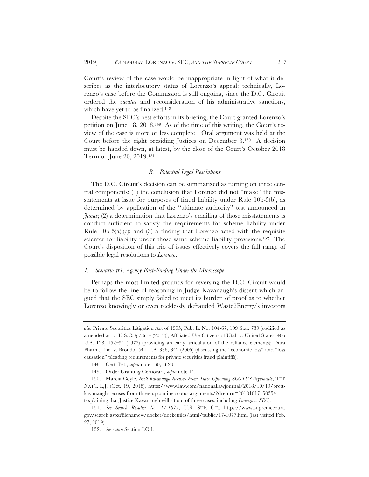Court's review of the case would be inappropriate in light of what it describes as the interlocutory status of Lorenzo's appeal: technically, Lorenzo's case before the Commission is still ongoing, since the D.C. Circuit ordered the *vacatur* and reconsideration of his administrative sanctions, which have yet to be finalized.148

Despite the SEC's best efforts in its briefing, the Court granted Lorenzo's petition on June 18, 2018.149 As of the time of this writing, the Court's review of the case is more or less complete. Oral argument was held at the Court before the eight presiding Justices on December 3.150 A decision must be handed down, at latest, by the close of the Court's October 2018 Term on June 20, 2019.151

# *B. Potential Legal Resolutions*

The D.C. Circuit's decision can be summarized as turning on three central components: (1) the conclusion that Lorenzo did not "make" the misstatements at issue for purposes of fraud liability under Rule 10b-5(b), as determined by application of the "ultimate authority" test announced in *Janus*; (2) a determination that Lorenzo's emailing of those misstatements is conduct sufficient to satisfy the requirements for scheme liability under Rule 10b-5(a),(c); and (3) a finding that Lorenzo acted with the requisite scienter for liability under those same scheme liability provisions.<sup>152</sup> The Court's disposition of this trio of issues effectively covers the full range of possible legal resolutions to *Lorenzo*.

#### *1. Scenario #1: Agency Fact-Finding Under the Microscope*

Perhaps the most limited grounds for reversing the D.C. Circuit would be to follow the line of reasoning in Judge Kavanaugh's dissent which argued that the SEC simply failed to meet its burden of proof as to whether Lorenzo knowingly or even recklessly defrauded Waste2Energy's investors

*also* Private Securities Litigation Act of 1995, Pub. L. No. 104-67, 109 Stat. 739 (codified as amended at 15 U.S.C. § 78u-4 (2012)); Affiliated Ute Citizens of Utah v. United States, 406 U.S. 128, 152–54 (1972) (providing an early articulation of the reliance elements); Dura Pharm., Inc. v. Broudo, 544 U.S. 336, 342 (2005) (discussing the "economic loss" and "loss causation" pleading requirements for private securities fraud plaintiffs).

<sup>148</sup>*.* Cert. Pet., *supra* note 130, at 20.

<sup>149.</sup> Order Granting Certiorari, *supra* note 14.

<sup>150.</sup> Marcia Coyle, *Brett Kavanaugh Recuses From Three Upcoming SCOTUS Arguments*, THE NAT'L L.J. (Oct. 19, 2018), https://www.law.com/nationallawjournal/2018/10/19/brettkavanaugh-recuses-from-three-upcoming-scotus-arguments/?slreturn=20181017150354 (explaining that Justice Kavanaugh will sit out of three cases, including *Lorenzo v. SEC*).

<sup>151.</sup> *See Search Results: No. 17-1077*, U.S. SUP. CT., https://www.supremecourt. gov/search.aspx?filename=/docket/docketfiles/html/public/17-1077.html (last visited Feb. 27, 2019).

<sup>152.</sup> *See supra* Section I.C.1.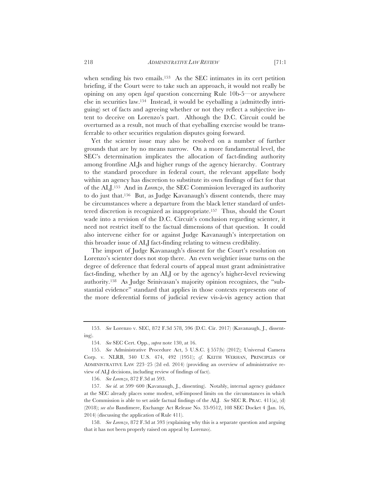when sending his two emails.153 As the SEC intimates in its cert petition briefing, if the Court were to take such an approach, it would not really be opining on any open *legal* question concerning Rule 10b-5—or anywhere else in securities law.154 Instead, it would be eyeballing a (admittedly intriguing) set of facts and agreeing whether or not they reflect a subjective intent to deceive on Lorenzo's part. Although the D.C. Circuit could be overturned as a result, not much of that eyeballing exercise would be transferrable to other securities regulation disputes going forward.

Yet the scienter issue may also be resolved on a number of further grounds that are by no means narrow. On a more fundamental level, the SEC's determination implicates the allocation of fact-finding authority among frontline ALJs and higher rungs of the agency hierarchy. Contrary to the standard procedure in federal court, the relevant appellate body within an agency has discretion to substitute its own findings of fact for that of the ALJ.155 And in *Lorenzo*, the SEC Commission leveraged its authority to do just that.156 But, as Judge Kavanaugh's dissent contends, there may be circumstances where a departure from the black letter standard of unfettered discretion is recognized as inappropriate.157 Thus, should the Court wade into a revision of the D.C. Circuit's conclusion regarding scienter, it need not restrict itself to the factual dimensions of that question. It could also intervene either for or against Judge Kavanaugh's interpretation on this broader issue of ALJ fact-finding relating to witness credibility.

The import of Judge Kavanaugh's dissent for the Court's resolution on Lorenzo's scienter does not stop there. An even weightier issue turns on the degree of deference that federal courts of appeal must grant administrative fact-finding, whether by an ALJ or by the agency's higher-level reviewing authority.158 As Judge Srinivasan's majority opinion recognizes, the "substantial evidence" standard that applies in those contexts represents one of the more deferential forms of judicial review vis-à-vis agency action that

<sup>153.</sup> *See* Lorenzo v. SEC, 872 F.3d 578, 596 (D.C. Cir. 2017) (Kavanaugh, J., dissenting).

<sup>154.</sup> *See* SEC Cert. Opp*.*, *supra* note 130, at 16.

<sup>155.</sup> *See* Administrative Procedure Act, 5 U.S.C. § 557(b) (2012); Universal Camera Corp. v. NLRB, 340 U.S. 474, 492 (1951); *cf.* KEITH WERHAN, PRINCIPLES OF ADMINISTRATIVE LAW 223–25 (2d ed. 2014) (providing an overview of administrative review of ALJ decisions, including review of findings of fact).

<sup>156.</sup> *See Lorenzo*, 872 F.3d at 593.

<sup>157.</sup> *See id.* at 599–600 (Kavanaugh, J., dissenting). Notably, internal agency guidance at the SEC already places some modest, self-imposed limits on the circumstances in which the Commission is able to set aside factual findings of the ALJ. *See* SEC R. PRAC. 411(a), (d) (2018); *see also* Bandimere, Exchange Act Release No. 33-9512, 108 SEC Docket 4 (Jan. 16, 2014) (discussing the application of Rule 411).

<sup>158.</sup> *See Lorenzo*, 872 F.3d at 593 (explaining why this is a separate question and arguing that it has not been properly raised on appeal by Lorenzo).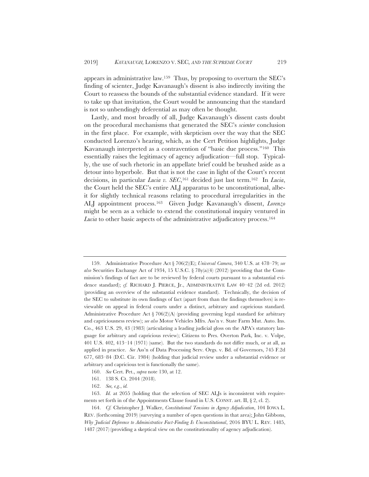appears in administrative law.159 Thus, by proposing to overturn the SEC's finding of scienter, Judge Kavanaugh's dissent is also indirectly inviting the Court to reassess the bounds of the substantial evidence standard. If it were to take up that invitation, the Court would be announcing that the standard is not so unbendingly deferential as may often be thought.

Lastly, and most broadly of all, Judge Kavanaugh's dissent casts doubt on the procedural mechanisms that generated the SEC's *scienter* conclusion in the first place. For example, with skepticism over the way that the SEC conducted Lorenzo's hearing, which, as the Cert Petition highlights, Judge Kavanaugh interpreted as a contravention of "basic due process."160 This essentially raises the legitimacy of agency adjudication—full stop. Typically, the use of such rhetoric in an appellate brief could be brushed aside as a detour into hyperbole. But that is not the case in light of the Court's recent decisions, in particular *Lucia v. SEC*,161 decided just last term.162 In *Lucia*, the Court held the SEC's entire ALJ apparatus to be unconstitutional, albeit for slightly technical reasons relating to procedural irregularities in the ALJ appointment process.163 Given Judge Kavanaugh's dissent, *Lorenzo* might be seen as a vehicle to extend the constitutional inquiry ventured in *Lucia* to other basic aspects of the administrative adjudicatory process.<sup>164</sup>

- 160. *See* Cert. Pet., *supra* note 130, at 12.
- 161. 138 S. Ct. 2044 (2018).
- 162. *See, e.g.*, *id.*

<sup>159.</sup> Administrative Procedure Act § 706(2)(E); *Universal Camera*, 340 U.S. at 478–79; *see also* Securities Exchange Act of 1934, 15 U.S.C. § 78y(a)(4) (2012) (providing that the Commission's findings of fact are to be reviewed by federal courts pursuant to a substantial evidence standard); *cf.* RICHARD J. PIERCE, Jr., ADMINISTRATIVE LAW 40-42 (2d ed. 2012) (providing an overview of the substantial evidence standard). Technically, the decision of the SEC to substitute its own findings of fact (apart from than the findings themselves) is reviewable on appeal in federal courts under a distinct, arbitrary and capricious standard. Administrative Procedure Act § 706(2)(A) (providing governing legal standard for arbitrary and capriciousness review); *see also* Motor Vehicles Mfrs. Ass'n v. State Farm Mut. Auto. Ins. Co., 463 U.S. 29, 43 (1983) (articulating a leading judicial gloss on the APA's statutory language for arbitrary and capricious review); Citizens to Pres. Overton Park, Inc. v. Volpe, 401 U.S. 402, 413–14 (1971) (same). But the two standards do not differ much, or at all, as applied in practice. *See* Ass'n of Data Processing Serv. Orgs. v. Bd. of Governors, 745 F.2d 677, 683–84 (D.C. Cir. 1984) (holding that judicial review under a substantial evidence or arbitrary and capricious test is functionally the same).

<sup>163.</sup> *Id.* at 2055 (holding that the selection of SEC ALJs is inconsistent with requirements set forth in of the Appointments Clause found in U.S. CONST. art. II, § 2, cl. 2).

<sup>164.</sup> *Cf.* Christopher J. Walker, *Constitutional Tensions in Agency Adjudication*, 104 IOWA L. REV. (forthcoming 2019) (surveying a number of open questions in that area); John Gibbons, *Why Judicial Deference to Administrative Fact-Finding Is Unconstitutional*, 2016 BYU L. REV. 1485, 1487 (2017) (providing a skeptical view on the constitutionality of agency adjudication).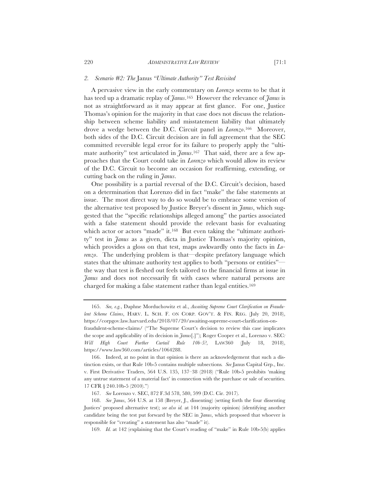#### *2. Scenario #2: The* Janus *"Ultimate Authority" Test Revisited*

A pervasive view in the early commentary on *Lorenzo* seems to be that it has teed up a dramatic replay of *Janus*.165 However the relevance of *Janus* is not as straightforward as it may appear at first glance. For one, Justice Thomas's opinion for the majority in that case does not discuss the relationship between scheme liability and misstatement liability that ultimately drove a wedge between the D.C. Circuit panel in *Lorenzo*.166 Moreover, both sides of the D.C. Circuit decision are in full agreement that the SEC committed reversible legal error for its failure to properly apply the "ultimate authority" test articulated in *Janus*.167 That said, there are a few approaches that the Court could take in *Lorenzo* which would allow its review of the D.C. Circuit to become an occasion for reaffirming, extending, or cutting back on the ruling in *Janus*.

One possibility is a partial reversal of the D.C. Circuit's decision, based on a determination that Lorenzo did in fact "make" the false statements at issue. The most direct way to do so would be to embrace some version of the alternative test proposed by Justice Breyer's dissent in *Janus*, which suggested that the "specific relationships alleged among" the parties associated with a false statement should provide the relevant basis for evaluating which actor or actors "made" it.<sup>168</sup> But even taking the "ultimate authority" test in *Janus* as a given, dicta in Justice Thomas's majority opinion, which provides a gloss on that test, maps awkwardly onto the facts in *Lorenzo*. The underlying problem is that—despite prefatory language which states that the ultimate authority test applies to both "persons or entities" the way that test is fleshed out feels tailored to the financial firms at issue in *Janus* and does not necessarily fit with cases where natural persons are charged for making a false statement rather than legal entities.169

<sup>165.</sup> *See, e.g.*, Daphne Morduchowitz et al., *Awaiting Supreme Court Clarification on Fraudulent Scheme Claims*, HARV. L. SCH. F. ON CORP. GOV'T.&FIN. REG. (July 20, 2018), https://corpgov.law.harvard.edu/2018/07/20/awaiting-supreme-court-clarification-onfraudulent-scheme-claims/ ("The Supreme Court's decision to review this case implicates the scope and applicability of its decision in *Janus*[.]"); Roger Cooper et al., Lorenzo v. SEC*: Will High Court Further Curtail Rule 10b-5?*, LAW360 (July 18, 2018), https://www.law360.com/articles/1064288.

<sup>166.</sup> Indeed, at no point in that opinion is there an acknowledgement that such a distinction exists, or that Rule 10b-5 contains multiple subsections*. See* Janus Capital Grp., Inc. v. First Derivative Traders, 564 U.S. 135, 137–38 (2018) ("Rule 10b-5 prohibits 'making any untrue statement of a material fact' in connection with the purchase or sale of securities. 17 CFR § 240.10b-5 (2010).")

<sup>167.</sup> *See* Lorenzo v. SEC, 872 F.3d 578, 580, 599 (D.C. Cir. 2017).

<sup>168.</sup> *See Janus*, 564 U.S. at 158 (Breyer, J., dissenting) (setting forth the four dissenting Justices' proposed alternative test); *see also id.* at 144 (majority opinion) (identifying another candidate being the test put forward by the SEC in *Janus*, which proposed that whoever is responsible for "creating" a statement has also "made" it).

<sup>169.</sup> *Id.* at 142 (explaining that the Court's reading of "make" in Rule 10b-5(b) applies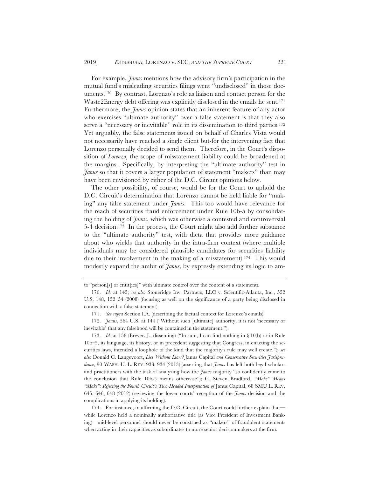For example, *Janus* mentions how the advisory firm's participation in the mutual fund's misleading securities filings went "undisclosed" in those documents.170 By contrast, Lorenzo's role as liaison and contact person for the Waste2Energy debt offering was explicitly disclosed in the emails he sent.<sup>171</sup> Furthermore, the *Janus* opinion states that an inherent feature of any actor who exercises "ultimate authority" over a false statement is that they also serve a "necessary or inevitable" role in its dissemination to third parties.<sup>172</sup> Yet arguably, the false statements issued on behalf of Charles Vista would not necessarily have reached a single client but-for the intervening fact that Lorenzo personally decided to send them. Therefore, in the Court's disposition of *Lorenzo*, the scope of misstatement liability could be broadened at the margins. Specifically, by interpreting the "ultimate authority" test in *Janus* so that it covers a larger population of statement "makers" than may have been envisioned by either of the D.C. Circuit opinions below.

The other possibility, of course, would be for the Court to uphold the D.C. Circuit's determination that Lorenzo cannot be held liable for "making" any false statement under *Janus*. This too would have relevance for the reach of securities fraud enforcement under Rule 10b-5 by consolidating the holding of *Janus*, which was otherwise a contested and controversial 5-4 decision.173 In the process, the Court might also add further substance to the "ultimate authority" test, with dicta that provides more guidance about who wields that authority in the intra-firm context (where multiple individuals may be considered plausible candidates for securities liability due to their involvement in the making of a misstatement).174 This would modestly expand the ambit of *Janus*, by expressly extending its logic to am-

173. *Id.* at 158 (Breyer, J., dissenting) ("In sum, I can find nothing in § 10(b) or in Rule 10b–5, its language, its history, or in precedent suggesting that Congress, in enacting the securities laws, intended a loophole of the kind that the majority's rule may well create."); *see also* Donald C. Langevoort, *Lies Without Liars?* Janus Capital *and Conservative Securities Jurisprudence*, 90 WASH. U. L. REV. 933, 934 (2013) (asserting that *Janus* has left both legal scholars and practitioners with the task of analyzing how the *Janus* majority "so confidently came to the conclusion that Rule 10b-5 means otherwise"); C. Steven Bradford, *"Make" Means "Make": Rejecting the Fourth Circuit's Two-Headed Interpretation of Janus Capital, 68 SMU L. REV.* 645, 646, 648 (2012) (reviewing the lower courts' reception of the *Janus* decision and the complications in applying its holding).

174. For instance, in affirming the D.C. Circuit, the Court could further explain that while Lorenzo held a nominally authoritative title (as Vice President of Investment Banking)—mid-level personnel should never be construed as "makers" of fraudulent statements when acting in their capacities as subordinates to more senior decisionmakers at the firm.

to "person[s] or entit[ies]" with ultimate control over the content of a statement).

<sup>170.</sup> *Id.* at 145; *see also* Stoneridge Inv. Partners, LLC v. Scientific-Atlanta, Inc., 552 U.S. 148, 152–54 (2008) (focusing as well on the significance of a party being disclosed in connection with a false statement).

<sup>171.</sup> *See supra* Section I.A. (describing the factual context for Lorenzo's emails).

<sup>172.</sup> *Janus*, 564 U.S. at 144 ("Without such [ultimate] authority, it is not 'necessary or inevitable' that any falsehood will be contained in the statement.").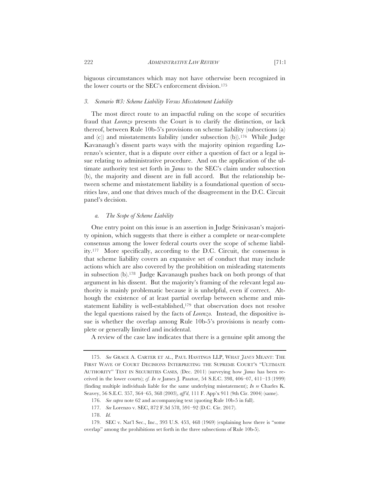biguous circumstances which may not have otherwise been recognized in the lower courts or the SEC's enforcement division.175

#### *3. Scenario #3: Scheme Liability Versus Misstatement Liability*

The most direct route to an impactful ruling on the scope of securities fraud that *Lorenzo* presents the Court is to clarify the distinction, or lack thereof, between Rule 10b-5's provisions on scheme liability (subsections (a) and (c)) and misstatements liability (under subsection (b)).176 While Judge Kavanaugh's dissent parts ways with the majority opinion regarding Lorenzo's scienter, that is a dispute over either a question of fact or a legal issue relating to administrative procedure. And on the application of the ultimate authority test set forth in *Janus* to the SEC's claim under subsection (b), the majority and dissent are in full accord. But the relationship between scheme and misstatement liability is a foundational question of securities law, and one that drives much of the disagreement in the D.C. Circuit panel's decision.

#### *a. The Scope of Scheme Liability*

One entry point on this issue is an assertion in Judge Srinivasan's majority opinion, which suggests that there is either a complete or near-complete consensus among the lower federal courts over the scope of scheme liability.177 More specifically, according to the D.C. Circuit, the consensus is that scheme liability covers an expansive set of conduct that may include actions which are also covered by the prohibition on misleading statements in subsection (b).178 Judge Kavanaugh pushes back on both prongs of that argument in his dissent. But the majority's framing of the relevant legal authority is mainly problematic because it is unhelpful, even if correct. Although the existence of at least partial overlap between scheme and misstatement liability is well-established,<sup>179</sup> that observation does not resolve the legal questions raised by the facts of *Lorenzo.* Instead, the dispositive issue is whether the overlap among Rule 10b-5's provisions is nearly complete or generally limited and incidental.

A review of the case law indicates that there is a genuine split among the

<sup>175.</sup> *See* GRACE A. CARTER ET AL., PAUL HASTINGS LLP, WHAT *JANUS* MEANT: THE FIRST WAVE OF COURT DECISIONS INTERPRETING THE SUPREME COURT'S "ULTIMATE AUTHORITY" TEST IN SECURITIES CASES*,* (Dec. 2011) (surveying how *Janus* has been received in the lower courts); *cf. In re* James J. Pasztor, 54 S.E.C. 398, 406–07, 411–13 (1999) (finding multiple individuals liable for the same underlying misstatement); *In re* Charles K. Seavey, 56 S.E.C. 357, 364–65, 368 (2003), *aff'd*, 111 F. App'x 911 (9th Cir. 2004) (same).

<sup>176.</sup> *See supra* note 62 and accompanying text (quoting Rule 10b-5 in full).

<sup>177.</sup> *See* Lorenzo v. SEC, 872 F.3d 578, 591–92 (D.C. Cir. 2017).

<sup>178.</sup> *Id.*

<sup>179.</sup> SEC v. Nat'l Sec., Inc., 393 U.S. 453, 468 (1969) (explaining how there is "some overlap" among the prohibitions set forth in the three subsections of Rule 10b-5).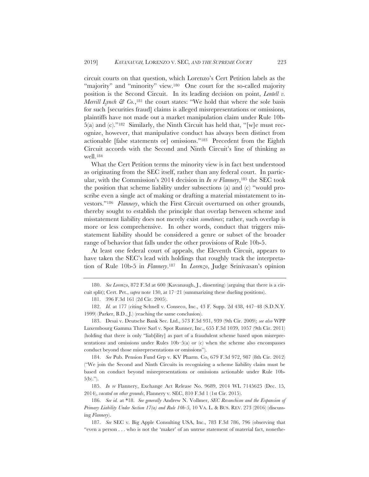circuit courts on that question, which Lorenzo's Cert Petition labels as the "majority" and "minority" view.<sup>180</sup> One court for the so-called majority position is the Second Circuit. In its leading decision on point, *Lentell v. Merrill Lynch & Co.*,<sup>181</sup> the court states: "We hold that where the sole basis for such [securities fraud] claims is alleged misrepresentations or omissions, plaintiffs have not made out a market manipulation claim under Rule 10b-5(a) and (c)."182 Similarly, the Ninth Circuit has held that, "[w]e must recognize, however, that manipulative conduct has always been distinct from actionable [false statements or] omissions."183 Precedent from the Eighth Circuit accords with the Second and Ninth Circuit's line of thinking as well.184

What the Cert Petition terms the minority view is in fact best understood as originating from the SEC itself, rather than any federal court. In particular, with the Commission's 2014 decision in *In re Flannery*,185 the SEC took the position that scheme liability under subsections (a) and (c) "would proscribe even a single act of making or drafting a material misstatement to investors."186 *Flannery*, which the First Circuit overturned on other grounds, thereby sought to establish the principle that overlap between scheme and misstatement liability does not merely exist *sometimes*; rather, such overlap is more or less comprehensive. In other words, conduct that triggers misstatement liability should be considered a genre or subset of the broader range of behavior that falls under the other provisions of Rule 10b-5.

At least one federal court of appeals, the Eleventh Circuit, appears to have taken the SEC's lead with holdings that roughly track the interpretation of Rule 10b-5 in *Flannery*.187 In *Lorenzo*, Judge Srinivasan's opinion

184. *See* Pub. Pension Fund Grp v. KV Pharm. Co, 679 F.3d 972, 987 (8th Cir. 2012) ("We join the Second and Ninth Circuits in recognizing a scheme liability claim must be based on conduct beyond misrepresentations or omissions actionable under Rule 10b-5(b).").

185. *In re* Flannery, Exchange Act Release No. 9689, 2014 WL 7145625 (Dec. 15, 2014), *vacated on other grounds*, Flannery v. SEC, 810 F.3d 1 (1st Cir. 2015).

186. *See id.* at \*18. *See generally* Andrew N. Vollmer, *SEC Revanchism and the Expansion of Primary Liability Under Section 17(a) and Rule 10b-5*, 10 VA. L. & BUS. REV. 273 (2016) (discussing *Flannery*).

<sup>180.</sup> *See Lorenzo*, 872 F.3d at 600 (Kavanaugh, J., dissenting) (arguing that there is a circuit split); Cert. Pet., *supra* note 130, at 17–21 (summarizing these dueling positions).

<sup>181. 396</sup> F.3d 161 (2d Cir. 2005).

<sup>182.</sup> *Id.* at 177 (citing Schnell v. Conseco, Inc., 43 F. Supp. 2d 438, 447–48 (S.D.N.Y. 1999) (Parker, B.D., J.) (reaching the same conclusion).

<sup>183.</sup> Desai v. Deutsche Bank Sec. Ltd., 573 F.3d 931, 939 (9th Cir. 2009); *see also* WPP Luxembourg Gamma Three Sarl v. Spot Runner, Inc., 655 F.3d 1039, 1057 (9th Cir. 2011) (holding that there is only "liab[ility] as part of a fraudulent scheme based upon misrepresentations and omissions under Rules  $10b-5(a)$  or (c) when the scheme also encompasses conduct beyond those misrepresentations or omissions").

<sup>187.</sup> *See* SEC v. Big Apple Consulting USA, Inc., 783 F.3d 786, 796 (observing that "even a person . . . who is not the 'maker' of an untrue statement of material fact, nonethe-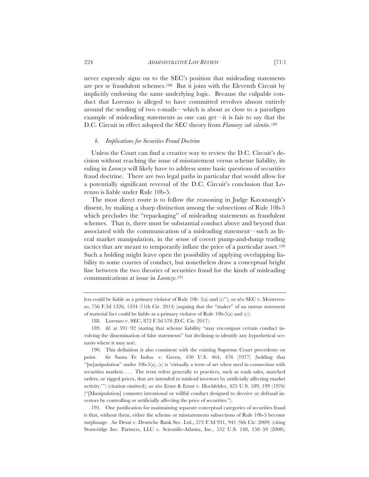never expressly signs on to the SEC's position that misleading statements are per se fraudulent schemes.188 But it joins with the Eleventh Circuit by implicitly endorsing the same underlying logic. Because the culpable conduct that Lorenzo is alleged to have committed revolves almost entirely around the sending of two e-mails—which is about as close to a paradigm example of misleading statements as one can get—it is fair to say that the D.C. Circuit in effect adopted the SEC theory from *Flannery sub silentio*.189

#### *b. Implications for Securities Fraud Doctrine*

Unless the Court can find a creative way to review the D.C. Circuit's decision without reaching the issue of misstatement versus scheme liability, its ruling in *Lorenzo* will likely have to address some basic questions of securities fraud doctrine. There are two legal paths in particular that would allow for a potentially significant reversal of the D.C. Circuit's conclusion that Lorenzo is liable under Rule 10b-5.

The most direct route is to follow the reasoning in Judge Kavanaugh's dissent, by making a sharp distinction among the subsections of Rule 10b-5 which precludes the "repackaging" of misleading statements as fraudulent schemes. That is, there must be substantial conduct above and beyond that associated with the communication of a misleading statement—such as literal market manipulation, in the sense of covert pump-and-dump trading tactics that are meant to temporarily inflate the price of a particular asset.190 Such a holding might leave open the possibility of applying overlapping liability to some courses of conduct, but nonetheless draw a conceptual bright line between the two theories of securities fraud for the kinds of misleading communications at issue in *Lorenzo*.191

191. One justification for maintaining separate conceptual categories of securities fraud is that, without them, either the scheme or misstatements subsections of Rule 10b-5 become surplusage. *See* Desai v. Deutsche Bank Sec. Ltd., 573 F.3d 931, 941 (9th Cir. 2009) (citing Stoneridge Inv. Partners, LLC v. Scientific-Atlanta, Inc*.*, 552 U.S. 148, 158–59 (2008);

less could be liable as a primary violator of Rule 10b–5(a) and (c)"); *see also* SEC v. Monterosso, 756 F.3d 1326, 1334 (11th Cir. 2014) (arguing that the "maker" of an untrue statement of material fact could be liable as a primary violator of Rule 10b-5(a) and (c)).

<sup>188.</sup> Lorenzo v. SEC, 872 F.3d 578 (D.C. Cir. 2017).

<sup>189.</sup> *Id.* at 591–92 (stating that scheme liability "may encompass certain conduct involving the dissemination of false statements" but declining to identify any hypothetical scenario where it may not).

<sup>190.</sup> This definition is also consistent with the existing Supreme Court precedents on point. *See* Santa Fe Indus. v. Green, 430 U.S. 464, 476 (1977) (holding that "[m]anipulation" under 10b-5(a),  $(c)$  is 'virtually a term of art when used in connection with securities markets. . . . The term refers generally to practices, such as wash sales, matched orders, or rigged prices, that are intended to mislead investors by artificially affecting market activity.'") (citation omitted); *see also* Ernst & Ernst v. Hochfelder, 425 U.S. 189, 199 (1976) ("[Manipulation] connotes intentional or willful conduct designed to deceive or defraud investors by controlling or artificially affecting the price of securities.").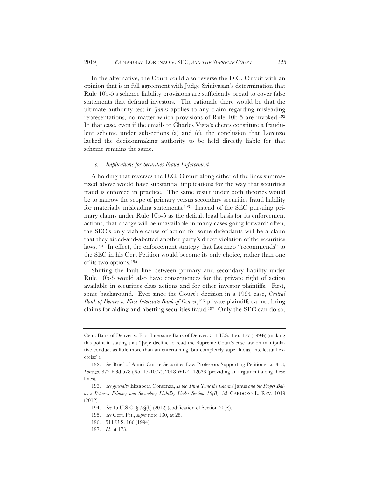In the alternative, the Court could also reverse the D.C. Circuit with an opinion that is in full agreement with Judge Srinivasan's determination that Rule 10b-5's scheme liability provisions are sufficiently broad to cover false statements that defraud investors. The rationale there would be that the ultimate authority test in *Janus* applies to any claim regarding misleading representations, no matter which provisions of Rule 10b-5 are invoked.192 In that case, even if the emails to Charles Vista's clients constitute a fraudulent scheme under subsections (a) and (c), the conclusion that Lorenzo lacked the decisionmaking authority to be held directly liable for that scheme remains the same.

#### *c. Implications for Securities Fraud Enforcement*

A holding that reverses the D.C. Circuit along either of the lines summarized above would have substantial implications for the way that securities fraud is enforced in practice. The same result under both theories would be to narrow the scope of primary versus secondary securities fraud liability for materially misleading statements.193 Instead of the SEC pursuing primary claims under Rule 10b-5 as the default legal basis for its enforcement actions, that charge will be unavailable in many cases going forward; often, the SEC's only viable cause of action for some defendants will be a claim that they aided-and-abetted another party's direct violation of the securities laws.194 In effect, the enforcement strategy that Lorenzo "recommends" to the SEC in his Cert Petition would become its only choice, rather than one of its two options.195

Shifting the fault line between primary and secondary liability under Rule 10b-5 would also have consequences for the private right of action available in securities class actions and for other investor plaintiffs. First, some background. Ever since the Court's decision in a 1994 case, *Central Bank of Denver v. First Interstate Bank of Denver*,196 private plaintiffs cannot bring claims for aiding and abetting securities fraud.197 Only the SEC can do so,

Cent. Bank of Denver v. First Interstate Bank of Denver, 511 U.S. 166, 177 (1994)) (making this point in stating that "[w]e decline to read the Supreme Court's case law on manipulative conduct as little more than an entertaining, but completely superfluous, intellectual exercise").

<sup>192.</sup> *See* Brief of Amici Curiae Securities Law Professors Supporting Petitioner at 4–8, *Lorenzo*, 872 F.3d 578 (No. 17-1077), 2018 WL 4142633 (providing an argument along these lines).

<sup>193.</sup> *See generally* Elizabeth Consenza, *Is the Third Time the Charm?* Janus *and the Proper Balance Between Primary and Secondary Liability Under Section 10(B)*, 33 CARDOZO L. REV. 1019 (2012).

<sup>194.</sup> *See* 15 U.S.C. § 78j(b) (2012) (codification of Section 20(e)).

<sup>195.</sup> *See* Cert. Pet., *supra* note 130, at 28.

<sup>196. 511</sup> U.S. 166 (1994).

<sup>197.</sup> *Id.* at 173.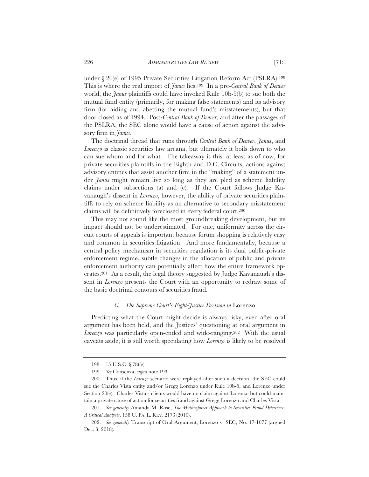under § 20(e) of 1995 Private Securities Litigation Reform Act (PSLRA).198 This is where the real import of *Janus* lies.199 In a pre-*Central Bank of Denver* world, the *Janus* plaintiffs could have invoked Rule 10b-5(b) to sue both the mutual fund entity (primarily, for making false statements) and its advisory firm (for aiding and abetting the mutual fund's misstatements), but that door closed as of 1994. Post*-Central Bank of Denver*, and after the passages of the PSLRA, the SEC alone would have a cause of action against the advisory firm in *Janus*.

The doctrinal thread that runs through *Central Bank of Denver*, *Janus*, and *Lorenzo* is classic securities law arcana, but ultimately it boils down to who can sue whom and for what. The takeaway is this: at least as of now, for private securities plaintiffs in the Eighth and D.C. Circuits, actions against advisory entities that assist another firm in the "making" of a statement under *Janus* might remain live so long as they are pled as scheme liability claims under subsections (a) and (c). If the Court follows Judge Kavanaugh's dissent in *Lorenzo*, however, the ability of private securities plaintiffs to rely on scheme liability as an alternative to secondary misstatement claims will be definitively foreclosed in every federal court.200

This may not sound like the most groundbreaking development, but its impact should not be underestimated. For one, uniformity across the circuit courts of appeals is important because forum shopping is relatively easy and common in securities litigation. And more fundamentally, because a central policy mechanism in securities regulation is its dual public-private enforcement regime, subtle changes in the allocation of public and private enforcement authority can potentially affect how the entire framework operates.201 As a result, the legal theory suggested by Judge Kavanaugh's dissent in *Lorenzo* presents the Court with an opportunity to redraw some of the basic doctrinal contours of securities fraud.

# *C. The Supreme Court's Eight-Justice Decision in* Lorenzo

Predicting what the Court might decide is always risky, even after oral argument has been held, and the Justices' questioning at oral argument in *Lorenzo* was particularly open-ended and wide-ranging.202 With the usual caveats aside, it is still worth speculating how *Lorenzo* is likely to be resolved

<sup>198. 15</sup> U.S.C. § 78t(e).

<sup>199.</sup> *See* Consenza, *supra* note 193.

<sup>200.</sup> Thus, if the *Lorenzo* scenario were replayed after such a decision, the SEC could sue the Charles Vista entity and/or Gregg Lorenzo under Rule 10b-5, and Lorenzo under Section 20(e). Charles Vista's clients would have no claim against Lorenzo but could maintain a private cause of action for securities fraud against Gregg Lorenzo and Charles Vista.

<sup>201.</sup> *See generally* Amanda M. Rose, *The Multienforcer Approach to Securities Fraud Deterrence: A Critical Analysis*, 158 U. PA. L. REV. 2173 (2010).

<sup>202.</sup> *See generally* Transcript of Oral Argument, Lorenzo v. SEC, No. 17-1077 (argued Dec. 3, 2018)*.*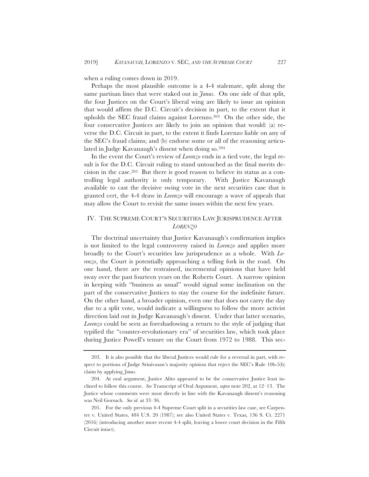when a ruling comes down in 2019.

Perhaps the most plausible outcome is a 4-4 stalemate, split along the same partisan lines that were staked out in *Janus*. On one side of that split, the four Justices on the Court's liberal wing are likely to issue an opinion that would affirm the D.C. Circuit's decision in part, to the extent that it upholds the SEC fraud claims against Lorenzo.203 On the other side, the four conservative Justices are likely to join an opinion that would: (a) reverse the D.C. Circuit in part, to the extent it finds Lorenzo liable on any of the SEC's fraud claims; and (b) endorse some or all of the reasoning articulated in Judge Kavanaugh's dissent when doing so.204

In the event the Court's review of *Lorenzo* ends in a tied vote, the legal result is for the D.C. Circuit ruling to stand untouched as the final merits decision in the case.205 But there is good reason to believe its status as a controlling legal authority is only temporary. With Justice Kavanaugh available to cast the decisive swing vote in the next securities case that is granted cert, the 4-4 draw in *Lorenzo* will encourage a wave of appeals that may allow the Court to revisit the same issues within the next few years.

# IV. THE SUPREME COURT'S SECURITIES LAW JURISPRUDENCE AFTER *LORENZO*

The doctrinal uncertainty that Justice Kavanaugh's confirmation implies is not limited to the legal controversy raised in *Lorenzo* and applies more broadly to the Court's securities law jurisprudence as a whole. With *Lorenzo*, the Court is potentially approaching a telling fork in the road. On one hand, there are the restrained, incremental opinions that have held sway over the past fourteen years on the Roberts Court. A narrow opinion in keeping with "business as usual" would signal some inclination on the part of the conservative Justices to stay the course for the indefinite future. On the other hand, a broader opinion, even one that does not carry the day due to a split vote, would indicate a willingness to follow the more activist direction laid out in Judge Kavanaugh's dissent. Under that latter scenario, *Lorenzo* could be seen as foreshadowing a return to the style of judging that typified the "counter-revolutionary era" of securities law, which took place during Justice Powell's tenure on the Court from 1972 to 1988. This sec-

<sup>203.</sup> It is also possible that the liberal Justices would rule for a reversal in part, with respect to portions of Judge Srinivasan's majority opinion that reject the SEC's Rule 10b-5(b) claim by applying *Janus*.

<sup>204.</sup> At oral argument, Justice Alito appeared to be the conservative Justice least inclined to follow this course. *See* Transcript of Oral Argument, *supra* note 202, at 12–13. The Justice whose comments were most directly in line with the Kavanaugh dissent's reasoning was Neil Gorsuch. *See id.* at 33–36.

<sup>205.</sup> For the only previous 4-4 Supreme Court split in a securities law case, see Carpenter v. United States, 484 U.S. 20 (1987); see also United States v. Texas, 136 S. Ct. 2271 (2016) (introducing another more recent 4-4 split, leaving a lower court decision in the Fifth Circuit intact).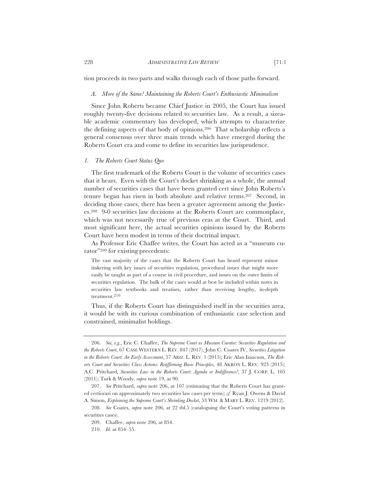tion proceeds in two parts and walks through each of those paths forward.

#### *A. More of the Same? Maintaining the Roberts Court's Enthusiastic Minimalism*

Since John Roberts became Chief Justice in 2005, the Court has issued roughly twenty-five decisions related to securities law. As a result, a sizeable academic commentary has developed, which attempts to characterize the defining aspects of that body of opinions.206 That scholarship reflects a general consensus over three main trends which have emerged during the Roberts Court era and come to define its securities law jurisprudence.

#### *1. The Roberts Court Status Quo*

The first trademark of the Roberts Court is the volume of securities cases that it hears. Even with the Court's docket shrinking as a whole, the annual number of securities cases that have been granted cert since John Roberts's tenure began has risen in both absolute and relative terms.207 Second, in deciding those cases, there has been a greater agreement among the Justices.208 9-0 securities law decisions at the Roberts Court are commonplace, which was not necessarily true of previous eras at the Court. Third, and most significant here, the actual securities opinions issued by the Roberts Court have been modest in terms of their doctrinal impact.

As Professor Eric Chaffee writes, the Court has acted as a "museum curator"209 for existing precedents:

The vast majority of the cases that the Roberts Court has heard represent minor tinkering with key issues of securities regulation, procedural issues that might more easily be taught as part of a course in civil procedure, and issues on the outer limits of securities regulation. The bulk of the cases would at best be included within notes in securities law textbooks and treatises, rather than receiving lengthy, in-depth treatment.210

Thus, if the Roberts Court has distinguished itself in the securities area, it would be with its curious combination of enthusiastic case selection and constrained, minimalist holdings.

<sup>206.</sup> *See, e.g.*, Eric C. Chaffee, *The Supreme Court as Museum Curator: Securities Regulation and the Roberts Court*, 67 CASE WESTERN L. REV. 847 (2017); John C. Coates IV, *Securities Litigation in the Roberts Court: An Early Assessment*, 57 ARIZ. L. REV. 1 (2015); Eric Alan Isaacson, *The Roberts Court and Securities Class Actions: Reaffirming Basic Principles*, 48 AKRON L. REV. 923 (2015); A.C. Pritchard, *Securities Law in the Roberts Court: Agenda or Indifference?*, 37 J. CORP. L. 105 (2011); Turk & Woody, *supra* note 19, at 90.

<sup>207.</sup> *See* Pritchard, *supra* note 206, at 107 (estimating that the Roberts Court has granted certiorari on approximately two securities law cases per term); *cf.* Ryan J. Owens & David A. Simon, *Explaining the Supreme Court's Shrinking Docket*, 53 WM.&MARY L. REV. 1219 (2012).

<sup>208.</sup> *See* Coates, *supra* note 206, at 22 tbl.5 (cataloguing the Court's voting patterns in securities cases).

<sup>209.</sup> Chaffee, *supra* note 206, at 854.

<sup>210.</sup> *Id.* at 854–55.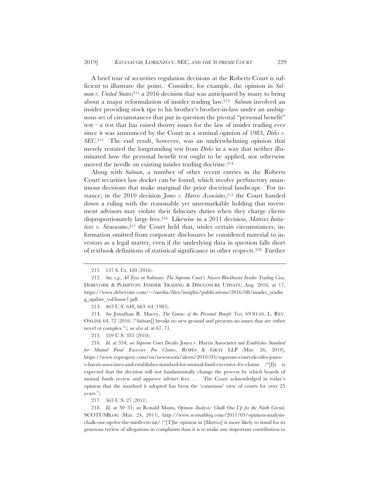A brief tour of securities regulation decisions at the Roberts Court is sufficient to illustrate the point. Consider, for example, the opinion in *Salman v. United States*;<sup>211</sup> a 2016 decision that was anticipated by many to bring about a major reformulation of insider trading law.212 *Salman* involved an insider providing stock tips to his brother's brother-in-law under an ambiguous set of circumstances that put in question the pivotal "personal benefit" test—a test that has raised thorny issues for the law of insider trading ever since it was announced by the Court in a seminal opinion of 1983, *Dirks v. SEC*.213 The end result, however, was an underwhelming opinion that merely restated the longstanding test from *Dirks* in a way that neither illuminated how the personal benefit test ought to be applied, nor otherwise moved the needle on existing insider trading doctrine.214

Along with *Salman*, a number of other recent entries in the Roberts Court securities law docket can be found, which involve perfunctory unanimous decisions that make marginal the prior doctrinal landscape. For instance, in the 2010 decision *Jones v. Harris Associates*,<sup>215</sup> the Court handed down a ruling with the reasonable yet unremarkable holding that investment advisors may violate their fiduciary duties when they charge clients disproportionately large fees.216 Likewise in a 2011 decision, *Matrixx Initiatives v. Siracusano*,<sup>217</sup> the Court held that, under certain circumstances, information omitted from corporate disclosures be considered material to investors as a legal matter, even if the underlying data in question falls short of textbook definitions of statistical significance in other respects.218 Further

213. 463 U.S. 648, 663–64 (1983).

214. *See* Jonathan R. Macey, *The Genius of the Personal Benefit Test*, 69 STAN. L. REV. ONLINE 64, 72 (2016) ("*Salman*[] breaks no new ground and presents no issues that are either novel or complex."); *see also id.* at 67, 71.

215. 559 U.S. 335 (2010).

216. *Id.* at 354; *see Supreme Court Decides* Jones v. Harris Associates *and Establishes Standard for Mutual Fund Excessive Fee Claims*, ROPES & GRAY LLP (Mar. 26, 2010), https://www.ropesgray.com/en/newsroom/alerts/2010/03/supreme-court-decides-jonesv-harris-associates-and-establishes-standard-for-mutual-fund-excessive-fee-claims ("[I]t is expected that the decision will not fundamentally change the process by which boards of mutual funds review and approve adviser fees. . . . The Court acknowledged in today's opinion that the standard it adopted has been the 'consensus' view of courts for over 25 years.").

217. 563 U.S. 27 (2011).

218. *Id.* at 30–31; *see* Ronald Mann, *Opinion Analysis: Chalk One Up for the Ninth Circuit,*  SCOTUSBLOG (Mar. 24, 2011), http://www.scotusblog.com/2011/03/opinion-analysischalk-one-up-for-the-ninth-circuit/ ("[T]he opinion in [*Matrixx*] is more likely to stand for its generous review of allegations in complaints than it is to make any important contribution to

<sup>211. 137</sup> S. Ct. 420 (2016).

<sup>212.</sup> *See, e.g.*, *All Eyes on* Salman*: The Supreme Court's Newest Blockbuster Insider Trading Case,*  DEBEVOISE & PLIMPTON: INSIDER TRADING & DISCLOSURE UPDATE, Aug. 2016, at 17, https://www.debevoise.com/~/media/files/insights/publications/2016/08/insider\_tradin g\_update\_vol3issue1.pdf.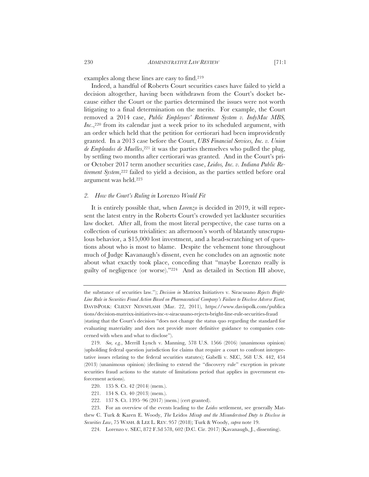examples along these lines are easy to find.219

Indeed, a handful of Roberts Court securities cases have failed to yield a decision altogether, having been withdrawn from the Court's docket because either the Court or the parties determined the issues were not worth litigating to a final determination on the merits. For example, the Court removed a 2014 case, *Public Employees' Retirement System v. IndyMac MBS, Inc*.,220 from its calendar just a week prior to its scheduled argument, with an order which held that the petition for certiorari had been improvidently granted. In a 2013 case before the Court, *UBS Financial Services, Inc. v. Union*  de Empleados de Muelles,<sup>221</sup> it was the parties themselves who pulled the plug, by settling two months after certiorari was granted. And in the Court's prior October 2017 term another securities case, *Leidos, Inc. v. Indiana Public Retirement System*,222 failed to yield a decision, as the parties settled before oral argument was held.223

#### *2. How the Court's Ruling in* Lorenzo *Would Fit*

It is entirely possible that, when *Lorenzo* is decided in 2019, it will represent the latest entry in the Roberts Court's crowded yet lackluster securities law docket. After all, from the most literal perspective, the case turns on a collection of curious trivialities: an afternoon's worth of blatantly unscrupulous behavior, a \$15,000 lost investment, and a head-scratching set of questions about who is most to blame. Despite the vehement tone throughout much of Judge Kavanaugh's dissent, even he concludes on an agnostic note about what exactly took place, conceding that "maybe Lorenzo really is guilty of negligence (or worse)."224 And as detailed in Section III above,

- 220. 135 S. Ct. 42 (2014) (mem.).
- 221. 134 S. Ct. 40 (2013) (mem.).
- 222. 137 S. Ct. 1395–96 (2017) (mem.) (cert granted).

the substance of securities law."); *Decision in* Matrixx Initiatives v. Siracusano *Rejects Bright-Line Rule in Securities Fraud Action Based on Pharmaceutical Company's Failure to Disclose Adverse Event,*  DAVISPOLK: CLIENT NEWSFLASH (Mar. 22, 2011), https://www.davispolk.com/publica tions/decision-matrixx-initiatives-inc-v-siracusano-rejects-bright-line-rule-securities-fraud (stating that the Court's decision "does not change the status quo regarding the standard for evaluating materiality and does not provide more definitive guidance to companies concerned with when and what to disclose").

<sup>219.</sup> *See, e.g.*, Merrill Lynch v. Manning, 578 U.S. 1566 (2016) (unanimous opinion) (upholding federal question jurisdiction for claims that require a court to confront interpretative issues relating to the federal securities statutes); Gabelli v. SEC, 568 U.S. 442, 454 (2013) (unanimous opinion) (declining to extend the "discovery rule" exception in private securities fraud actions to the statute of limitations period that applies in government enforcement actions).

<sup>223.</sup> For an overview of the events leading to the *Leidos* settlement, see generally Matthew C. Turk & Karen E. Woody, *The* Leidos *Mixup and the Misunderstood Duty to Disclose in Securities Law*, 75 WASH.&LEE L. REV. 957 (2018); Turk & Woody, *supra* note 19.

<sup>224.</sup> Lorenzo v. SEC, 872 F.3d 578, 602 (D.C. Cir. 2017) (Kavanaugh, J., dissenting).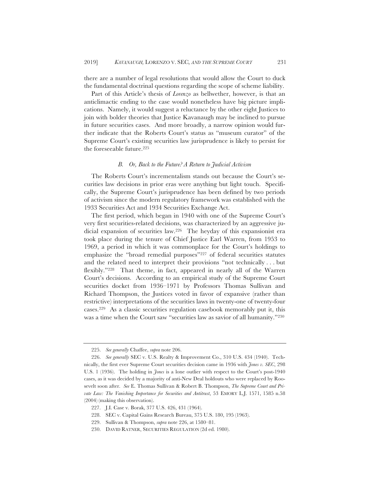there are a number of legal resolutions that would allow the Court to duck the fundamental doctrinal questions regarding the scope of scheme liability.

Part of this Article's thesis of *Lorenzo* as bellwether, however, is that an anticlimactic ending to the case would nonetheless have big picture implications. Namely, it would suggest a reluctance by the other eight Justices to join with bolder theories that Justice Kavanaugh may be inclined to pursue in future securities cases. And more broadly, a narrow opinion would further indicate that the Roberts Court's status as "museum curator" of the Supreme Court's existing securities law jurisprudence is likely to persist for the foreseeable future.225

#### *B. Or, Back to the Future? A Return to Judicial Activism*

The Roberts Court's incrementalism stands out because the Court's securities law decisions in prior eras were anything but light touch. Specifically, the Supreme Court's jurisprudence has been defined by two periods of activism since the modern regulatory framework was established with the 1933 Securities Act and 1934 Securities Exchange Act.

The first period, which began in 1940 with one of the Supreme Court's very first securities-related decisions, was characterized by an aggressive judicial expansion of securities law.226 The heyday of this expansionist era took place during the tenure of Chief Justice Earl Warren, from 1953 to 1969, a period in which it was commonplace for the Court's holdings to emphasize the "broad remedial purposes"227 of federal securities statutes and the related need to interpret their provisions "not technically . . . but flexibly."228 That theme, in fact, appeared in nearly all of the Warren Court's decisions. According to an empirical study of the Supreme Court securities docket from 1936–1971 by Professors Thomas Sullivan and Richard Thompson, the Justices voted in favor of expansive (rather than restrictive) interpretations of the securities laws in twenty-one of twenty-four cases.229 As a classic securities regulation casebook memorably put it, this was a time when the Court saw "securities law as savior of all humanity."230

<sup>225.</sup> *See generally* Chaffee, *supra* note 206.

<sup>226.</sup> *See generally* SEC v. U.S. Realty & Improvement Co., 310 U.S. 434 (1940). Technically, the first ever Supreme Court securities decision came in 1936 with *Jones v. SEC*, 298 U.S. 1 (1936). The holding in *Jones* is a lone outlier with respect to the Court's post-1940 cases, as it was decided by a majority of anti-New Deal holdouts who were replaced by Roosevelt soon after. *See* E. Thomas Sullivan & Robert B. Thompson, *The Supreme Court and Private Law: The Vanishing Importance for Securities and Antitrust*, 53 EMORY L.J. 1571, 1585 n.58 (2004) (making this observation).

<sup>227.</sup> J.I. Case v. Borak, 377 U.S. 426, 431 (1964).

<sup>228.</sup> SEC v. Capital Gains Research Bureau, 375 U.S. 180, 195 (1963).

<sup>229.</sup> Sullivan & Thompson, *supra* note 226, at 1580–81.

<sup>230.</sup> DAVID RATNER, SECURITIES REGULATION (2d ed. 1980).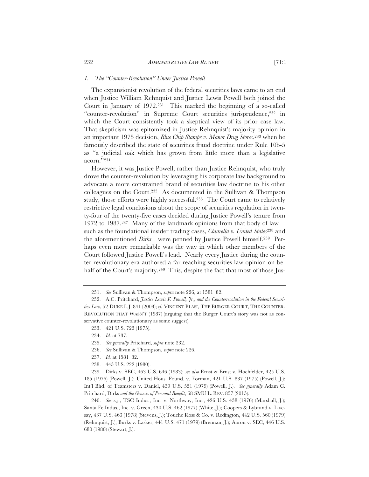#### *1. The "Counter-Revolution" Under Justice Powell*

The expansionist revolution of the federal securities laws came to an end when Justice William Rehnquist and Justice Lewis Powell both joined the Court in January of 1972.231 This marked the beginning of a so-called "counter-revolution" in Supreme Court securities jurisprudence,232 in which the Court consistently took a skeptical view of its prior case law. That skepticism was epitomized in Justice Rehnquist's majority opinion in an important 1975 decision, *Blue Chip Stamps v. Manor Drug Stores*,233 when he famously described the state of securities fraud doctrine under Rule 10b-5 as "a judicial oak which has grown from little more than a legislative acorn."234

However, it was Justice Powell, rather than Justice Rehnquist, who truly drove the counter-revolution by leveraging his corporate law background to advocate a more constrained brand of securities law doctrine to his other colleagues on the Court.235 As documented in the Sullivan & Thompson study, those efforts were highly successful.236 The Court came to relatively restrictive legal conclusions about the scope of securities regulation in twenty-four of the twenty-five cases decided during Justice Powell's tenure from 1972 to 1987.237 Many of the landmark opinions from that body of law such as the foundational insider trading cases, *Chiarella v. United States*238 and the aforementioned *Dirks*—were penned by Justice Powell himself.239 Perhaps even more remarkable was the way in which other members of the Court followed Justice Powell's lead. Nearly every Justice during the counter-revolutionary era authored a far-reaching securities law opinion on behalf of the Court's majority.<sup>240</sup> This, despite the fact that most of those Jus-

- 237. *Id.* at 1581–82.
- 238. 445 U.S. 222 (1980).

239. Dirks v. SEC, 463 U.S. 646 (1983); *see also* Ernst & Ernst v. Hochfelder, 425 U.S. 185 (1976) (Powell, J.); United Hous. Found. v. Forman, 421 U.S. 837 (1975) (Powell, J.); Int'l Bhd. of Teamsters v. Daniel, 439 U.S. 551 (1979) (Powell, J.). *See generally* Adam C. Pritchard, Dirks *and the Genesis of Personal Benefit*, 68 SMU L. REV. 857 (2015).

240. *See e.g.*, TSC Indus., Inc. v. Northway, Inc., 426 U.S. 438 (1976) (Marshall, J.); Santa Fe Indus., Inc. v. Green, 430 U.S. 462 (1977) (White, J.); Coopers & Lybrand v. Livesay, 437 U.S. 463 (1978) (Stevens, J.); Touche Ross & Co. v. Redington, 442 U.S. 560 (1979) (Rehnquist, J.); Burks v. Lasker, 441 U.S. 471 (1979) (Brennan, J.); Aaron v. SEC, 446 U.S. 680 (1980) (Stewart, J.).

<sup>231.</sup> *See* Sullivan & Thompson, *supra* note 226, at 1581–82.

<sup>232.</sup> A.C. Pritchard, *Justice Lewis F. Powell, Jr., and the Counterrevolution in the Federal Securities Law*, 52 DUKE L.J. 841 (2003); *cf.* VINCENT BLASI, THE BURGER COURT, THE COUNTER-REVOLUTION THAT WASN'T (1987) (arguing that the Burger Court's story was not as conservative counter-revolutionary as some suggest).

<sup>233. 421</sup> U.S. 723 (1975).

<sup>234.</sup> *Id.* at 737.

<sup>235.</sup> *See generally* Pritchard, *supra* note 232.

<sup>236.</sup> *See* Sullivan & Thompson, *supra* note 226.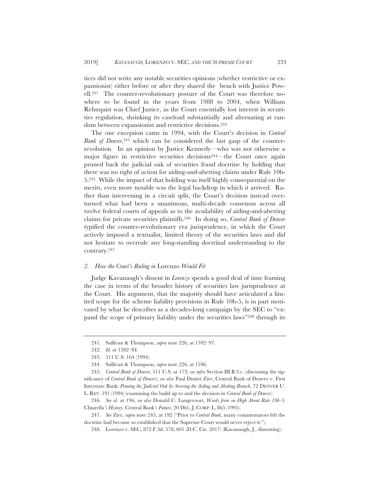tices did not write any notable securities opinions (whether restrictive or expansionist) either before or after they shared the bench with Justice Powell.241 The counter-revolutionary posture of the Court was therefore nowhere to be found in the years from 1988 to 2004, when William Rehnquist was Chief Justice, as the Court essentially lost interest in securities regulation, shrinking its caseload substantially and alternating at random between expansionist and restrictive decisions.242

The one exception came in 1994, with the Court's decision in *Central Bank of Denver*,<sup>243</sup> which can be considered the last gasp of the counterrevolution. In an opinion by Justice Kennedy—who was not otherwise a major figure in restrictive securities decisions244—the Court once again pruned back the judicial oak of securities fraud doctrine by holding that there was no right of action for aiding-and-abetting claims under Rule 10b-5.245 While the impact of that holding was itself highly consequential on the merits, even more notable was the legal backdrop in which it arrived. Rather than intervening in a circuit split, the Court's decision instead overturned what had been a unanimous, multi-decade consensus across all twelve federal courts of appeals as to the availability of aiding-and-abetting claims for private securities plaintiffs.246 In doing so, *Central Bank of Denver*  typified the counter-revolutionary era jurisprudence, in which the Court actively imposed a textualist, limited theory of the securities laws and did not hesitate to overrule any long-standing doctrinal understanding to the contrary.247

#### *2. How the Court's Ruling in* Lorenzo *Would Fit*

Judge Kavanaugh's dissent in *Lorenzo* spends a good deal of time framing the case in terms of the broader history of securities law jurisprudence at the Court. His argument, that the majority should have articulated a limited scope for the scheme liability provisions in Rule 10b-5, is in part motivated by what he describes as a decades-long campaign by the SEC to "expand the scope of primary liability under the securities laws"248 through its

<sup>241.</sup> Sullivan & Thompson, *supra* note 226, at 1592–97.

<sup>242.</sup> *Id.* at 1582–84.

<sup>243. 511</sup> U.S. 164 (1994).

<sup>244.</sup> Sullivan & Thompson, *supra* note 226, at 1596.

<sup>245.</sup> *Central Bank of Denver*, 511 U.S*.* at 173; *see infra* Section III.B.3.c. (discussing the significance of *Central Bank of Denver*); *see also* Paul Dmitri Zier, Central Bank of Denver v. First Interstate Bank*: Pruning the Judicial Oak by Severing the Aiding and Abetting Branch*, 72 DENVER U. L. REV. 191 (1994) (examining the build up to and the decision in *Central Bank of Denver*).

<sup>246.</sup> *See id.* at 196; *see also* Donald C. Langevoort, *Words from on High About Rule 10b-5:*  Chiarella*'s History,* Central Bank*'s Future*, 20 DEL. J. CORP. L. 865 (1995).

<sup>247.</sup> *See* Zier, *supra* note 245, at 192 ("Prior to *Central Bank*, many commentators felt the doctrine had become so established that the Supreme Court would never reject it.").

<sup>248.</sup> Lorenzo v. SEC, 872 F.3d. 578, 601 (D.C. Cir. 2017) (Kavanaugh, J., dissenting).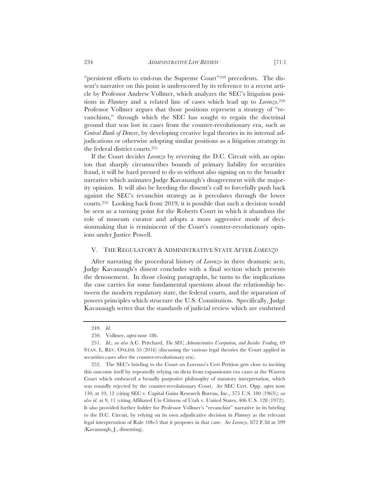"persistent efforts to end-run the Supreme Court"249 precedents. The dissent's narrative on this point is underscored by its reference to a recent article by Professor Andrew Vollmer, which analyzes the SEC's litigation positions in *Flannery* and a related line of cases which lead up to *Lorenzo*.250 Professor Vollmer argues that those positions represent a strategy of "revanchism," through which the SEC has sought to regain the doctrinal ground that was lost in cases from the counter-revolutionary era, such as *Central Bank of Denver*, by developing creative legal theories in its internal adjudications or otherwise adopting similar positions as a litigation strategy in the federal district courts.251

If the Court decides *Lorenzo* by reversing the D.C. Circuit with an opinion that sharply circumscribes bounds of primary liability for securities fraud, it will be hard pressed to do so without also signing on to the broader narrative which animates Judge Kavanaugh's disagreement with the majority opinion. It will also be heeding the dissent's call to forcefully push back against the SEC's revanchist strategy as it percolates through the lower courts.252 Looking back from 2019, it is possible that such a decision would be seen as a turning point for the Roberts Court in which it abandons the role of museum curator and adopts a more aggressive mode of decisionmaking that is reminiscent of the Court's counter-revolutionary opinions under Justice Powell.

#### V. THE REGULATORY & ADMINISTRATIVE STATE AFTER *LORENZO*

After narrating the procedural history of *Lorenzo* in three dramatic acts, Judge Kavanaugh's dissent concludes with a final section which presents the denouement. In those closing paragraphs, he turns to the implications the case carries for some fundamental questions about the relationship between the modern regulatory state, the federal courts, and the separation of powers principles which structure the U.S. Constitution. Specifically, Judge Kavanaugh writes that the standards of judicial review which are enshrined

<sup>249.</sup> *Id.*

<sup>250.</sup> Vollmer, *supra* note 186.

<sup>251.</sup> *Id.*; *see also* A.C. Pritchard, *The SEC, Administrative Usurpation, and Insider Trading*, 69 STAN. L. REV. ONLINE 55 (2016) (discussing the various legal theories the Court applied in securities cases after the counter-revolutionary era).

<sup>252.</sup> The SEC's briefing to the Court on Lorenzo's Cert Petition gets close to inviting this outcome itself by repeatedly relying on dicta from expansionist era cases at the Warren Court which embraced a broadly purposive philosophy of statutory interpretation, which was roundly rejected by the counter-revolutionary Court. *See* SEC Cert. Opp. *supra* note 130, at 10, 12 (citing SEC v. Capital Gains Research Bureau, Inc., 375 U.S. 180 (1963)); *see also id.* at 9, 11 (citing Affiliated Ute Citizens of Utah v. United States, 406 U.S. 128 (1972)). It also provided further fodder for Professor Vollmer's "revanchist" narrative in its briefing to the D.C. Circuit, by relying on its own adjudicative decision in *Flannery* as the relevant legal interpretation of Rule 10b-5 that it proposes in that case. *See Lorenzo*, 872 F.3d at 599 (Kavanaugh, J., dissenting).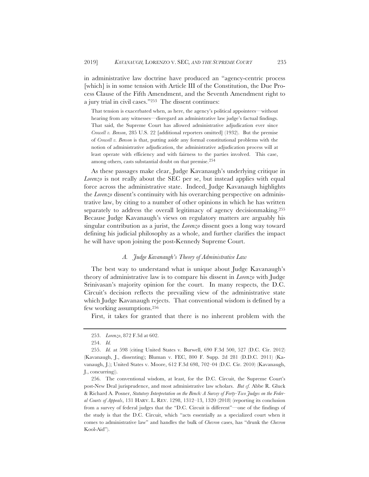in administrative law doctrine have produced an "agency-centric process [which] is in some tension with Article III of the Constitution, the Due Process Clause of the Fifth Amendment, and the Seventh Amendment right to a jury trial in civil cases."253 The dissent continues:

 That tension is exacerbated when, as here, the agency's political appointees—without hearing from any witnesses—disregard an administrative law judge's factual findings. That said, the Supreme Court has allowed administrative adjudication ever since *Crowell v. Benson*, 285 U.S. 22 [additional reporters omitted] (1932). But the premise of *Crowell v. Benson* is that, putting aside any formal constitutional problems with the notion of administrative adjudication, the administrative adjudication process will at least operate with efficiency and with fairness to the parties involved. This case, among others, casts substantial doubt on that premise.254

As these passages make clear, Judge Kavanaugh's underlying critique in *Lorenzo* is not really about the SEC per se, but instead applies with equal force across the administrative state. Indeed, Judge Kavanaugh highlights the *Lorenzo* dissent's continuity with his overarching perspective on administrative law, by citing to a number of other opinions in which he has written separately to address the overall legitimacy of agency decisionmaking.255 Because Judge Kavanaugh's views on regulatory matters are arguably his singular contribution as a jurist, the *Lorenzo* dissent goes a long way toward defining his judicial philosophy as a whole, and further clarifies the impact he will have upon joining the post-Kennedy Supreme Court.

#### *A. Judge Kavanaugh's Theory of Administrative Law*

The best way to understand what is unique about Judge Kavanaugh's theory of administrative law is to compare his dissent in *Lorenzo* with Judge Srinivasan's majority opinion for the court. In many respects, the D.C. Circuit's decision reflects the prevailing view of the administrative state which Judge Kavanaugh rejects. That conventional wisdom is defined by a few working assumptions.256

First, it takes for granted that there is no inherent problem with the

<sup>253.</sup> *Lorenzo*, 872 F.3d at 602.

<sup>254.</sup> *Id.*

<sup>255.</sup> *Id.* at 598 (citing United States v. Burwell, 690 F.3d 500, 527 (D.C. Cir. 2012) (Kavanaugh, J., dissenting); Bluman v. FEC, 800 F. Supp. 2d 281 (D.D.C. 2011) (Kavanaugh, J.); United States v. Moore, 612 F.3d 698, 702–04 (D.C. Cir. 2010) (Kavanaugh, J., concurring)).

<sup>256.</sup> The conventional wisdom, at least, for the D.C. Circuit, the Supreme Court's post-New Deal jurisprudence, and most administrative law scholars. *But cf.* Abbe R. Gluck & Richard A. Posner, *Statutory Interpretation on the Bench: A Survey of Forty-Two Judges on the Federal Courts of Appeals*, 131 HARV. L. REV. 1298, 1312–13, 1320 (2018) (reporting its conclusion from a survey of federal judges that the "D.C. Circuit is different"—one of the findings of the study is that the D.C. Circuit, which "acts essentially as a specialized court when it comes to administrative law" and handles the bulk of *Chevron* cases, has "drunk the *Chevron* Kool-Aid").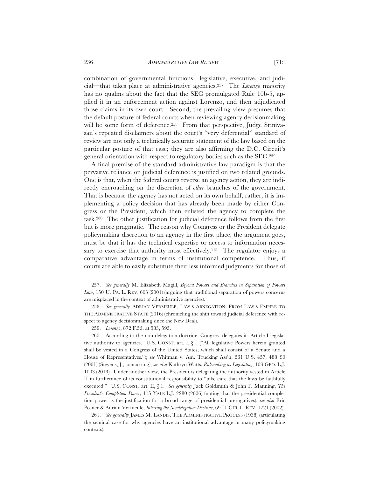combination of governmental functions—legislative, executive, and judicial—that takes place at administrative agencies.257 The *Lorenzo* majority has no qualms about the fact that the SEC promulgated Rule 10b-5, applied it in an enforcement action against Lorenzo, and then adjudicated those claims in its own court. Second, the prevailing view presumes that the default posture of federal courts when reviewing agency decisionmaking will be some form of deference.<sup>258</sup> From that perspective, Judge Srinivasan's repeated disclaimers about the court's "very deferential" standard of review are not only a technically accurate statement of the law based on the particular posture of that case; they are also affirming the D.C. Circuit's general orientation with respect to regulatory bodies such as the SEC.259

A final premise of the standard administrative law paradigm is that the pervasive reliance on judicial deference is justified on two related grounds. One is that, when the federal courts reverse an agency action, they are indirectly encroaching on the discretion of *other* branches of the government. That is because the agency has not acted on its own behalf; rather, it is implementing a policy decision that has already been made by either Congress or the President, which then enlisted the agency to complete the task.260 The other justification for judicial deference follows from the first but is more pragmatic. The reason why Congress or the President delegate policymaking discretion to an agency in the first place, the argument goes, must be that it has the technical expertise or access to information necessary to exercise that authority most effectively.<sup>261</sup> The regulator enjoys a comparative advantage in terms of institutional competence. Thus, if courts are able to easily substitute their less informed judgments for those of

261. *See generally* JAMES M. LANDIS, THE ADMINISTRATIVE PROCESS (1938) (articulating the seminal case for why agencies have an institutional advantage in many policymaking contexts).

<sup>257.</sup> *See generally* M. Elizabeth Magill, *Beyond Powers and Branches in Separation of Powers Law*, 150 U. PA. L. REV. 603 (2001) (arguing that traditional separation of powers concerns are misplaced in the context of administrative agencies).

<sup>258.</sup> *See generally* ADRIAN VERMEULE, LAW'S ABNEGATION: FROM LAW'S EMPIRE TO THE ADMINISTRATIVE STATE (2016) (chronicling the shift toward judicial deference with respect to agency decisionmaking since the New Deal).

<sup>259.</sup> *Lorenzo*, 872 F.3d. at 583, 593.

<sup>260.</sup> According to the non-delegation doctrine, Congress delegates its Article I legislative authority to agencies. U.S. CONST. art. I, § 1 ("All legislative Powers herein granted shall be vested in a Congress of the United States, which shall consist of a Senate and a House of Representatives."); *see* Whitman v. Am. Trucking Ass'n, 531 U.S. 457, 488–90 (2001) (Stevens, J., concurring); *see also* Kathryn Watts, *Rulemaking as Legislating*, 103 GEO. L.J. 1003 (2013). Under another view, the President is delegating the authority vested in Article II in furtherance of its constitutional responsibility to "take care that the laws be faithfully executed." U.S. CONST. art. II, § 1. *See generally* Jack Goldsmith & John F. Manning, *The President's Completion Power*, 115 YALE L.J. 2280 (2006) (noting that the presidential completion power is the justification for a broad range of presidential prerogatives); *see also* Eric Posner & Adrian Vermeule, *Interring the Nondelegation Doctrine*, 69 U. CHI. L. REV. 1721 (2002).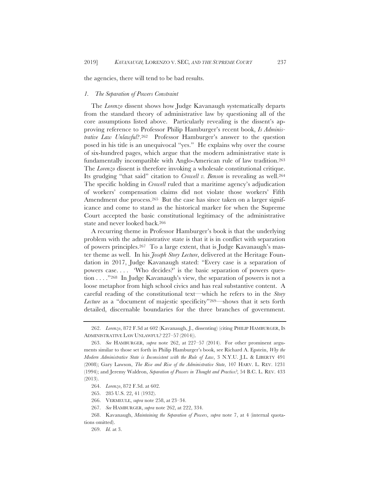the agencies, there will tend to be bad results.

#### *1. The Separation of Powers Constraint*

The *Lorenzo* dissent shows how Judge Kavanaugh systematically departs from the standard theory of administrative law by questioning all of the core assumptions listed above. Particularly revealing is the dissent's approving reference to Professor Philip Hamburger's recent book, *Is Administrative Law Unlawful*?.262 Professor Hamburger's answer to the question posed in his title is an unequivocal "yes." He explains why over the course of six-hundred pages, which argue that the modern administrative state is fundamentally incompatible with Anglo-American rule of law tradition.263 The *Lorenzo* dissent is therefore invoking a wholesale constitutional critique. Its grudging "that said" citation to *Crowell v. Benson* is revealing as well.264 The specific holding in *Crowell* ruled that a maritime agency's adjudication of workers' compensation claims did not violate those workers' Fifth Amendment due process.<sup>265</sup> But the case has since taken on a larger significance and come to stand as the historical marker for when the Supreme Court accepted the basic constitutional legitimacy of the administrative state and never looked back.266

A recurring theme in Professor Hamburger's book is that the underlying problem with the administrative state is that it is in conflict with separation of powers principles.267 To a large extent, that is Judge Kavanaugh's master theme as well. In his *Joseph Story Lecture*, delivered at the Heritage Foundation in 2017, Judge Kavanaugh stated: "Every case is a separation of powers case. . . . 'Who decides?' is the basic separation of powers question . . . ."268 In Judge Kavanaugh's view, the separation of powers is not a loose metaphor from high school civics and has real substantive content. A careful reading of the constitutional text—which he refers to in the *Story Lecture* as a "document of majestic specificity"<sup>269</sup>—shows that it sets forth detailed, discernable boundaries for the three branches of government.

<sup>262.</sup> *Lorenzo*, 872 F.3d at 602 (Kavanaugh, J., dissenting) (citing PHILIP HAMBURGER, IS ADMINISTRATIVE LAW UNLAWFUL? 227–57 (2014)).

<sup>263.</sup> *See* HAMBURGER, *supra* note 262, at 227–57 (2014). For other prominent arguments similar to those set forth in Philip Hamburger's book, see Richard A. Epstein, *Why the Modern Administrative State is Inconsistent with the Rule of Law*, 3 N.Y.U. J.L. & LIBERTY 491 (2008); Gary Lawson, *The Rise and Rise of the Administrative State*, 107 HARV. L. REV. 1231 (1994); and Jeremy Waldron, *Separation of Powers in Thought and Practice?*, 54 B.C. L. REV. 433 (2013).

<sup>264.</sup> *Lorenzo*, 872 F.3d. at 602.

<sup>265. 285</sup> U.S. 22, 41 (1932).

<sup>266.</sup> VERMEULE, *supra* note 258, at 23–34.

<sup>267.</sup> *See* HAMBURGER, *supra* note 262, at 222, 334.

<sup>268.</sup> Kavanaugh, *Maintaining the Separation of Powers*, *supra* note 7, at 4 (internal quotations omitted).

<sup>269.</sup> *Id.* at 3.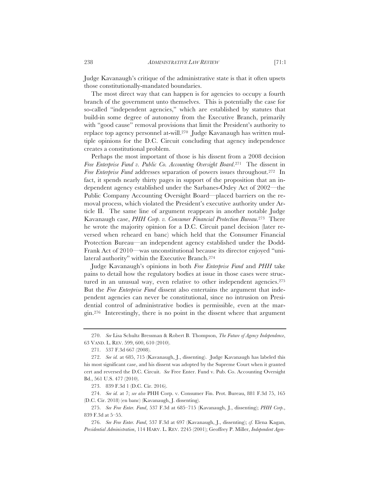Judge Kavanaugh's critique of the administrative state is that it often upsets those constitutionally-mandated boundaries.

The most direct way that can happen is for agencies to occupy a fourth branch of the government unto themselves. This is potentially the case for so-called "independent agencies," which are established by statutes that build-in some degree of autonomy from the Executive Branch, primarily with "good cause" removal provisions that limit the President's authority to replace top agency personnel at-will.270 Judge Kavanaugh has written multiple opinions for the D.C. Circuit concluding that agency independence creates a constitutional problem.

Perhaps the most important of those is his dissent from a 2008 decision *Free Enterprise Fund v. Public Co. Accounting Oversight Board*.271 The dissent in *Free Enterprise Fund* addresses separation of powers issues throughout.<sup>272</sup> In fact, it spends nearly thirty pages in support of the proposition that an independent agency established under the Sarbanes-Oxley Act of 2002—the Public Company Accounting Oversight Board—placed barriers on the removal process, which violated the President's executive authority under Article II. The same line of argument reappears in another notable Judge Kavanaugh case, *PHH Corp. v. Consumer Financial Protection Bureau*.273 There he wrote the majority opinion for a D.C. Circuit panel decision (later reversed when reheard en banc) which held that the Consumer Financial Protection Bureau—an independent agency established under the Dodd-Frank Act of 2010—was unconstitutional because its director enjoyed "unilateral authority" within the Executive Branch.274

Judge Kavanaugh's opinions in both *Free Enterprise Fund* and *PHH* take pains to detail how the regulatory bodies at issue in those cases were structured in an unusual way, even relative to other independent agencies.275 But the *Free Enterprise Fund* dissent also entertains the argument that independent agencies can never be constitutional, since no intrusion on Presidential control of administrative bodies is permissible, even at the margin.276 Interestingly, there is no point in the dissent where that argument

273. 839 F.3d 1 (D.C. Cir. 2016).

274. *See id.* at 7; *see also* PHH Corp. v. Consumer Fin. Prot. Bureau, 881 F.3d 75, 165 (D.C. Cir. 2018) (en banc) (Kavanaugh, J. dissenting).

275. *See Free Enter. Fund*, 537 F.3d at 685–715 (Kavanaugh, J., dissenting); *PHH Corp.*, 839 F.3d at 5–55.

276. *See Free Enter. Fund*, 537 F.3d at 697 (Kavanaugh, J., dissenting); *cf.* Elena Kagan, *Presidential Administration*, 114 HARV. L. REV. 2245 (2001); Geoffrey P. Miller, *Independent Agen-*

<sup>270.</sup> *See* Lisa Schultz Bressman & Robert B. Thompson, *The Future of Agency Independence*, 63 VAND. L. REV. 599, 600, 610 (2010).

<sup>271. 537</sup> F.3d 667 (2008).

<sup>272.</sup> *See id.* at 685, 715 (Kavanaugh, J., dissenting). Judge Kavanaugh has labeled this his most significant case, and his dissent was adopted by the Supreme Court when it granted cert and reversed the D.C. Circuit. *See* Free Enter. Fund v. Pub. Co. Accounting Oversight Bd., 561 U.S. 477 (2010).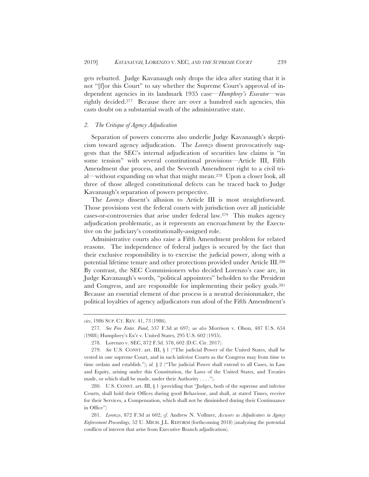gets rebutted. Judge Kavanaugh only drops the idea after stating that it is not "[f]or this Court" to say whether the Supreme Court's approval of independent agencies in its landmark 1935 case—*Humphrey's Executor*—was rightly decided.277 Because there are over a hundred such agencies, this casts doubt on a substantial swath of the administrative state.

# *2. The Critique of Agency Adjudication*

Separation of powers concerns also underlie Judge Kavanaugh's skepticism toward agency adjudication. The *Lorenzo* dissent provocatively suggests that the SEC's internal adjudication of securities law claims is "in some tension" with several constitutional provisions—Article III, Fifth Amendment due process, and the Seventh Amendment right to a civil trial—without expanding on what that might mean.278 Upon a closer look, all three of those alleged constitutional defects can be traced back to Judge Kavanaugh's separation of powers perspective.

The *Lorenzo* dissent's allusion to Article III is most straightforward. Those provisions vest the federal courts with jurisdiction over all justiciable cases-or-controversies that arise under federal law.279 This makes agency adjudication problematic, as it represents an encroachment by the Executive on the judiciary's constitutionally-assigned role.

Administrative courts also raise a Fifth Amendment problem for related reasons. The independence of federal judges is secured by the fact that their exclusive responsibility is to exercise the judicial power, along with a potential lifetime tenure and other protections provided under Article III.280 By contrast, the SEC Commissioners who decided Lorenzo's case are, in Judge Kavanaugh's words, "political appointees" beholden to the President and Congress, and are responsible for implementing their policy goals.281 Because an essential element of due process is a neutral decisionmaker, the political loyalties of agency adjudicators run afoul of the Fifth Amendment's

280. U.S. CONST. art. III, § 1 (providing that "Judges, both of the supreme and inferior Courts, shall hold their Offices during good Behaviour, and shall, at stated Times, receive for their Services, a Compensation, which shall not be diminished during their Continuance in Office")

281. *Lorenzo*, 872 F.3d at 602; *cf.* Andrew N. Vollmer, *Accusers as Adjudicators in Agency Enforcement Proceedings,* 52 U. MICH. J.L. REFORM (forthcoming 2018) (analyzing the potential conflicts of interest that arise from Executive Branch adjudication).

*cies*, 1986 SUP. CT. REV. 41, 73 (1986).

<sup>277.</sup> *See Free Enter. Fund*, 537 F.3d at 697; *see also* Morrison v. Olson, 487 U.S. 654 (1988); Humphrey's Ex'r v. United States, 295 U.S. 602 (1935).

<sup>278.</sup> Lorenzo v. SEC, 872 F.3d. 578, 602 (D.C. Cir. 2017).

<sup>279.</sup> *See* U.S. CONST. art. III, § 1 ("The judicial Power of the United States, shall be vested in one supreme Court, and in such inferior Courts as the Congress may from time to time ordain and establish."); *id.* § 2 ("The judicial Power shall extend to all Cases, in Law and Equity, arising under this Constitution, the Laws of the United States, and Treaties made, or which shall be made, under their Authority . . . .").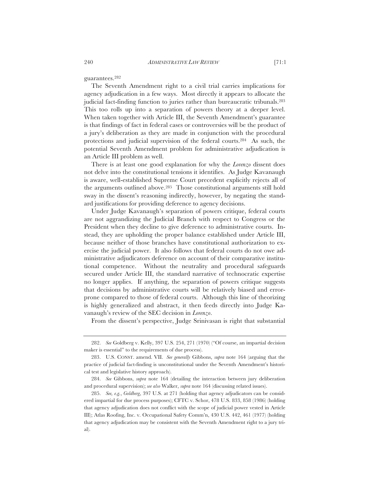guarantees.282

The Seventh Amendment right to a civil trial carries implications for agency adjudication in a few ways. Most directly it appears to allocate the judicial fact-finding function to juries rather than bureaucratic tribunals.283 This too rolls up into a separation of powers theory at a deeper level. When taken together with Article III, the Seventh Amendment's guarantee is that findings of fact in federal cases or controversies will be the product of a jury's deliberation as they are made in conjunction with the procedural protections and judicial supervision of the federal courts.284 As such, the potential Seventh Amendment problem for administrative adjudication is an Article III problem as well.

There is at least one good explanation for why the *Lorenzo* dissent does not delve into the constitutional tensions it identifies. As Judge Kavanaugh is aware, well-established Supreme Court precedent explicitly rejects all of the arguments outlined above.285 Those constitutional arguments still hold sway in the dissent's reasoning indirectly, however, by negating the standard justifications for providing deference to agency decisions.

Under Judge Kavanaugh's separation of powers critique, federal courts are not aggrandizing the Judicial Branch with respect to Congress or the President when they decline to give deference to administrative courts. Instead, they are upholding the proper balance established under Article III, because neither of those branches have constitutional authorization to exercise the judicial power. It also follows that federal courts do not owe administrative adjudicators deference on account of their comparative institutional competence. Without the neutrality and procedural safeguards secured under Article III, the standard narrative of technocratic expertise no longer applies. If anything, the separation of powers critique suggests that decisions by administrative courts will be relatively biased and errorprone compared to those of federal courts. Although this line of theorizing is highly generalized and abstract, it then feeds directly into Judge Kavanaugh's review of the SEC decision in *Lorenzo*.

From the dissent's perspective, Judge Srinivasan is right that substantial

<sup>282.</sup> *See* Goldberg v. Kelly, 397 U.S. 254, 271 (1970) ("Of course, an impartial decision maker is essential" to the requirements of due process).

<sup>283.</sup> U.S. CONST. amend. VII. *See generally* Gibbons, *supra* note 164 (arguing that the practice of judicial fact-finding is unconstitutional under the Seventh Amendment's historical test and legislative history approach).

<sup>284.</sup> *See* Gibbons, *supra* note 164 (detailing the interaction between jury deliberation and procedural supervision); *see also* Walker, *supra* note 164 (discussing related issues).

<sup>285.</sup> *See, e.g.*, *Goldberg*, 397 U.S. at 271 (holding that agency adjudicators can be considered impartial for due process purposes); CFTC v. Schor, 478 U.S. 833, 858 (1986) (holding that agency adjudication does not conflict with the scope of judicial power vested in Article III); Atlas Roofing, Inc. v. Occupational Safety Comm'n, 430 U.S. 442, 461 (1977) (holding that agency adjudication may be consistent with the Seventh Amendment right to a jury trial).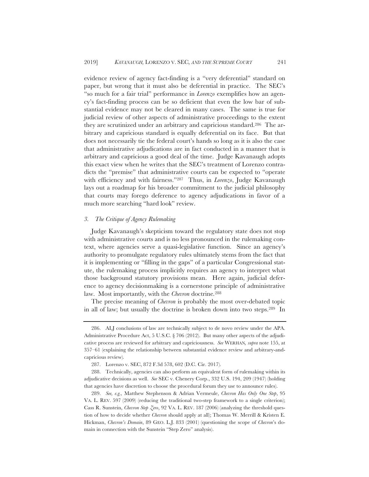evidence review of agency fact-finding is a "very deferential" standard on paper, but wrong that it must also be deferential in practice. The SEC's "so much for a fair trial" performance in *Lorenzo* exemplifies how an agency's fact-finding process can be so deficient that even the low bar of substantial evidence may not be cleared in many cases. The same is true for judicial review of other aspects of administrative proceedings to the extent they are scrutinized under an arbitrary and capricious standard.286 The arbitrary and capricious standard is equally deferential on its face. But that does not necessarily tie the federal court's hands so long as it is also the case that administrative adjudications are in fact conducted in a manner that is arbitrary and capricious a good deal of the time. Judge Kavanaugh adopts this exact view when he writes that the SEC's treatment of Lorenzo contradicts the "premise" that administrative courts can be expected to "operate with efficiency and with fairness."287 Thus, in *Lorenzo*, Judge Kavanaugh lays out a roadmap for his broader commitment to the judicial philosophy that courts may forego deference to agency adjudications in favor of a much more searching "hard look" review.

#### *3. The Critique of Agency Rulemaking*

Judge Kavanaugh's skepticism toward the regulatory state does not stop with administrative courts and is no less pronounced in the rulemaking context, where agencies serve a quasi-legislative function. Since an agency's authority to promulgate regulatory rules ultimately stems from the fact that it is implementing or "filling in the gaps" of a particular Congressional statute, the rulemaking process implicitly requires an agency to interpret what those background statutory provisions mean. Here again, judicial deference to agency decisionmaking is a cornerstone principle of administrative law. Most importantly, with the *Chevron* doctrine*.*<sup>288</sup>

The precise meaning of *Chevron* is probably the most over-debated topic in all of law; but usually the doctrine is broken down into two steps.289 In

<sup>286.</sup> ALJ conclusions of law are technically subject to de novo review under the APA. Administrative Procedure Act, 5 U.S.C. § 706 (2012). But many other aspects of the adjudicative process are reviewed for arbitrary and capriciousness. *See* WERHAN*, supra* note 155, at 357–61 (explaining the relationship between substantial evidence review and arbitrary-andcapricious review)*.*

<sup>287.</sup> Lorenzo v. SEC, 872 F.3d 578, 602 (D.C. Cir. 2017)*.*

<sup>288.</sup> Technically, agencies can also perform an equivalent form of rulemaking within its adjudicative decisions as well. *See* SEC v. Chenery Corp., 332 U.S. 194, 209 (1947) (holding that agencies have discretion to choose the procedural forum they use to announce rules).

<sup>289.</sup> *See, e.g.,* Matthew Stephenson & Adrian Vermeule, *Chevron Has Only One Step*, 95 VA. L. REV. 597 (2009) (reducing the traditional two-step framework to a single criterion); Cass R. Sunstein, *Chevron Step Zero*, 92 VA. L. REV. 187 (2006) (analyzing the threshold question of how to decide whether *Chevron* should apply at all); Thomas W. Merrill & Kristen E. Hickman, *Chevron's Domain*, 89 GEO. L.J. 833 (2001) (questioning the scope of *Chevron*'s domain in connection with the Sunstein "Step Zero" analysis).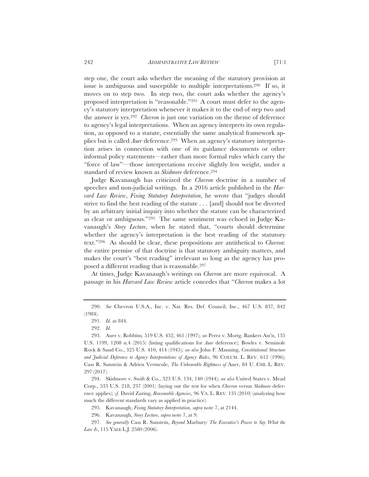step one, the court asks whether the meaning of the statutory provision at issue is ambiguous and susceptible to multiple interpretations.290 If so, it moves on to step two. In step two, the court asks whether the agency's proposed interpretation is "reasonable."291 A court must defer to the agency's statutory interpretation whenever it makes it to the end of step two and the answer is yes.292 *Chevron* is just one variation on the theme of deference to agency's legal interpretations. When an agency interprets its own regulation, as opposed to a statute, essentially the same analytical framework applies but is called *Auer* deference.293 When an agency's statutory interpretation arises in connection with one of its guidance documents or other informal policy statements—rather than more formal rules which carry the "force of law"—those interpretations receive slightly less weight, under a standard of review known as *Skidmore* deference.294

Judge Kavanaugh has criticized the *Chevron* doctrine in a number of speeches and non-judicial writings. In a 2016 article published in the *Harvard Law Review*, *Fixing Statutory Interpretation*, he wrote that "judges should strive to find the best reading of the statute . . . [and] should not be diverted by an arbitrary initial inquiry into whether the statute can be characterized as clear or ambiguous."295 The same sentiment was echoed in Judge Kavanaugh's *Story Lecture*, when he stated that, "courts should determine whether the agency's interpretation is the best reading of the statutory text."296 As should be clear, these propositions are antithetical to *Chevron*: the entire premise of that doctrine is that statutory ambiguity matters, and makes the court's "best reading" irrelevant so long as the agency has proposed a different reading that is reasonable.297

At times, Judge Kavanaugh's writings on *Chevron* are more equivocal. A passage in his *Harvard Law Review* article concedes that "*Chevron* makes a lot

294. Skidmore v. Swift & Co., 323 U.S. 134, 140 (1944); *see also* United States v. Mead Corp., 533 U.S. 218, 237 (2001) (laying out the test for when *Chevron* versus *Skidmore* deference applies); *cf.* David Zaring, *Reasonable Agencies*, 96 VA. L. REV. 135 (2010) (analyzing how much the different standards vary as applied in practice).

295. Kavanaugh, *Fixing Statutory Interpretation*, *supra* note 7, at 2144.

296. Kavanaugh, *Story Lecture*, *supra* note 7, at 9.

297. *See generally* Cass R. Sunstein, *Beyond* Marbury*: The Executive's Power to Say What the Law Is*, 115 YALE L.J. 2580 (2006).

<sup>290.</sup> *See* Chevron U.S.A., Inc. v. Nat. Res. Def. Council, Inc., 467 U.S. 837, 842 (1984).

<sup>291.</sup> *Id.* at 844.

<sup>292.</sup> *Id.*

<sup>293.</sup> Auer v. Robbins*,* 519 U.S. 452, 461 (1997); *see* Perez v. Mortg. Bankers Ass'n, 135 U.S. 1199, 1208 n.4 (2015) (listing qualifications for *Auer* deference); Bowles v. Seminole Rock & Sand Co., 325 U.S. 410, 414 (1945); *see also* John F. Manning, *Constitutional Structure and Judicial Deference to Agency Interpretations of Agency Rules*, 96 COLUM. L. REV. 612 (1996); Cass R. Sunstein & Adrien Vermeule, *The Unbearable Rightness of* Auer, 84 U. CHI. L. REV. 297 (2017).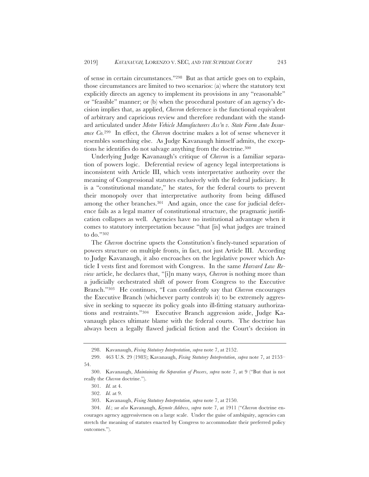of sense in certain circumstances."298 But as that article goes on to explain, those circumstances are limited to two scenarios: (a) where the statutory text explicitly directs an agency to implement its provisions in any "reasonable" or "feasible" manner; or (b) when the procedural posture of an agency's decision implies that, as applied, *Chevron* deference is the functional equivalent of arbitrary and capricious review and therefore redundant with the standard articulated under *Motor Vehicle Manufacturers Ass'n v. State Farm Auto Insurance Co.*299 In effect, the *Chevron* doctrine makes a lot of sense whenever it resembles something else. As Judge Kavanaugh himself admits, the exceptions he identifies do not salvage anything from the doctrine.300

Underlying Judge Kavanaugh's critique of *Chevron* is a familiar separation of powers logic. Deferential review of agency legal interpretations is inconsistent with Article III, which vests interpretative authority over the meaning of Congressional statutes exclusively with the federal judiciary. It is a "constitutional mandate," he states, for the federal courts to prevent their monopoly over that interpretative authority from being diffused among the other branches.301 And again, once the case for judicial deference fails as a legal matter of constitutional structure, the pragmatic justification collapses as well. Agencies have no institutional advantage when it comes to statutory interpretation because "that [is] what judges are trained to do."302

The *Chevron* doctrine upsets the Constitution's finely-tuned separation of powers structure on multiple fronts, in fact, not just Article III. According to Judge Kavanaugh, it also encroaches on the legislative power which Article I vests first and foremost with Congress. In the same *Harvard Law Review* article, he declares that, "[i]n many ways*, Chevron* is nothing more than a judicially orchestrated shift of power from Congress to the Executive Branch."303 He continues, "I can confidently say that *Chevron* encourages the Executive Branch (whichever party controls it) to be extremely aggressive in seeking to squeeze its policy goals into ill-fitting statuary authorizations and restraints."304 Executive Branch aggression aside, Judge Kavanaugh places ultimate blame with the federal courts. The doctrine has always been a legally flawed judicial fiction and the Court's decision in

<sup>298.</sup> Kavanaugh, *Fixing Statutory Interpretation*, *supra* note 7, at 2152.

<sup>299. 463</sup> U.S. 29 (1983); Kavanaugh, *Fixing Statutory Interpretation*, *supra* note 7, at 2153– 54.

<sup>300.</sup> Kavanaugh, *Maintaining the Separation of Powers*, *supra* note 7, at 9 ("But that is not really the *Chevron* doctrine.").

<sup>301.</sup> *Id.* at 4.

<sup>302.</sup> *Id.* at 9.

<sup>303.</sup> Kavanaugh, *Fixing Statutory Interpretation*, *supra* note 7, at 2150.

<sup>304.</sup> *Id.*; *see also* Kavanaugh, *Keynote Address*, *supra* note 7, at 1911 ("*Chevron* doctrine encourages agency aggressiveness on a large scale. Under the guise of ambiguity, agencies can stretch the meaning of statutes enacted by Congress to accommodate their preferred policy outcomes.").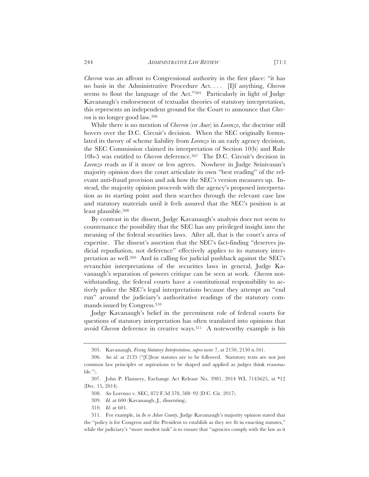*Chevron* was an affront to Congressional authority in the first place: "it has no basis in the Administrative Procedure Act. . . . [I]f anything, *Chevron*  seems to flout the language of the Act."305 Particularly in light of Judge Kavanaugh's endorsement of textualist theories of statutory interpretation, this represents an independent ground for the Court to announce that *Chevron* is no longer good law.306

While there is no mention of *Chevron* (or *Auer*) in *Lorenzo*, the doctrine still hovers over the D.C. Circuit's decision. When the SEC originally formulated its theory of scheme liability from *Lorenzo* in an early agency decision, the SEC Commission claimed its interpretation of Section 10(b) and Rule 10b-5 was entitled to *Chevron* deference.307 The D.C. Circuit's decision in *Lorenzo* reads as if it more or less agrees. Nowhere in Judge Srinivasan's majority opinion does the court articulate its own "best reading" of the relevant anti-fraud provision and ask how the SEC's version measures up. Instead, the majority opinion proceeds with the agency's proposed interpretation as its starting point and then searches through the relevant case law and statutory materials until it feels assured that the SEC's position is at least plausible.308

By contrast in the dissent, Judge Kavanaugh's analysis does not seem to countenance the possibility that the SEC has any privileged insight into the meaning of the federal securities laws. After all, that is the court's area of expertise. The dissent's assertion that the SEC's fact-finding "deserves judicial repudiation, not deference" effectively applies to its statutory interpretation as well.309 And in calling for judicial pushback against the SEC's revanchist interpretations of the securities laws in general, Judge Kavanaugh's separation of powers critique can be seen at work. *Chevron* notwithstanding, the federal courts have a constitutional responsibility to actively police the SEC's legal interpretations because they attempt an "end run" around the judiciary's authoritative readings of the statutory commands issued by Congress.310

Judge Kavanaugh's belief in the preeminent role of federal courts for questions of statutory interpretation has often translated into opinions that avoid *Chevron* deference in creative ways.311 A noteworthy example is his

<sup>305.</sup> Kavanaugh, *Fixing Statutory Interpretation*, *supra* note 7, at 2150, 2150 n.161.

<sup>306.</sup> *See id.* at 2135 ("[C]lear statutes are to be followed. Statutory texts are not just common law principles or aspirations to be shaped and applied as judges think reasonable.").

<sup>307.</sup> John P. Flannery, Exchange Act Release No. 3981, 2014 WL 7145625, at \*12 (Dec. 15, 2014).

<sup>308.</sup> *See* Lorenzo v. SEC, 872 F.3d 578, 588–92 (D.C. Cir. 2017).

<sup>309.</sup> *Id.* at 600 (Kavanaugh, J., dissenting).

<sup>310.</sup> *Id.* at 601.

<sup>311.</sup> For example, in *In re Aiken County,* Judge Kavanaugh's majority opinion stated that the "policy is for Congress and the President to establish as they see fit in enacting statutes," while the judiciary's "more modest task" is to ensure that "agencies comply with the law as it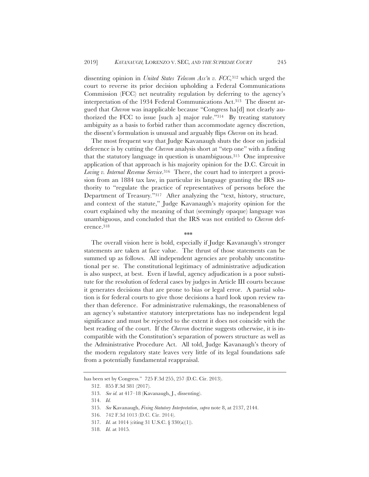dissenting opinion in *United States Telecom Ass'n v. FCC,*<sup>312</sup> which urged the court to reverse its prior decision upholding a Federal Communications Commission (FCC) net neutrality regulation by deferring to the agency's interpretation of the 1934 Federal Communications Act.313 The dissent argued that *Chevron* was inapplicable because "Congress ha[d] not clearly authorized the FCC to issue [such a] major rule."314 By treating statutory ambiguity as a basis to forbid rather than accommodate agency discretion, the dissent's formulation is unusual and arguably flips *Chevron* on its head.

The most frequent way that Judge Kavanaugh shuts the door on judicial deference is by cutting the *Chevron* analysis short at "step one" with a finding that the statutory language in question is unambiguous.315 One impressive application of that approach is his majority opinion for the D.C. Circuit in *Loving v. Internal Revenue Service*.316 There, the court had to interpret a provision from an 1884 tax law, in particular its language granting the IRS authority to "regulate the practice of representatives of persons before the Department of Treasury*.*"317 After analyzing the "text, history, structure, and context of the statute," Judge Kavanaugh's majority opinion for the court explained why the meaning of that (seemingly opaque) language was unambiguous, and concluded that the IRS was not entitled to *Chevron* deference.318

\*\*\*

The overall vision here is bold, especially if Judge Kavanaugh's stronger statements are taken at face value. The thrust of those statements can be summed up as follows. All independent agencies are probably unconstitutional per se. The constitutional legitimacy of administrative adjudication is also suspect, at best. Even if lawful, agency adjudication is a poor substitute for the resolution of federal cases by judges in Article III courts because it generates decisions that are prone to bias or legal error. A partial solution is for federal courts to give those decisions a hard look upon review rather than deference. For administrative rulemakings, the reasonableness of an agency's substantive statutory interpretations has no independent legal significance and must be rejected to the extent it does not coincide with the best reading of the court. If the *Chevron* doctrine suggests otherwise, it is incompatible with the Constitution's separation of powers structure as well as the Administrative Procedure Act. All told, Judge Kavanaugh's theory of the modern regulatory state leaves very little of its legal foundations safe from a potentially fundamental reappraisal.

has been set by Congress." 725 F.3d 255, 257 (D.C. Cir. 2013).

<sup>312. 855</sup> F.3d 381 (2017).

<sup>313.</sup> *See id.* at 417–18 (Kavanaugh, J., dissenting).

<sup>314.</sup> *Id.*

<sup>315.</sup> *See* Kavanaugh, *Fixing Statutory Interpretation*, *supra* note 8, at 2137, 2144.

<sup>316. 742</sup> F.3d 1013 (D.C. Cir. 2014).

<sup>317.</sup> *Id.* at 1014 (citing 31 U.S.C. § 330(a)(1)).

<sup>318.</sup> *Id.* at 1015*.*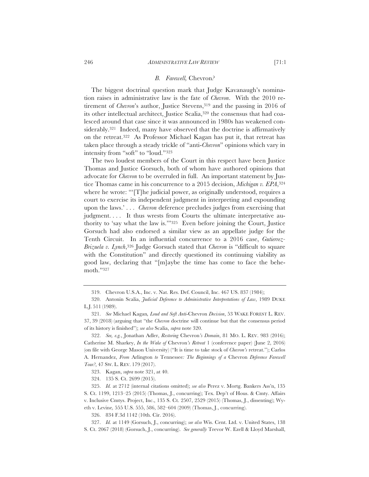#### *B. Farewell,* Chevron*?*

The biggest doctrinal question mark that Judge Kavanaugh's nomination raises in administrative law is the fate of *Chevron*. With the 2010 retirement of *Chevron*'s author, Justice Stevens,<sup>319</sup> and the passing in 2016 of its other intellectual architect, Justice Scalia,320 the consensus that had coalesced around that case since it was announced in 1980s has weakened considerably.<sup>321</sup> Indeed, many have observed that the doctrine is affirmatively on the retreat.322 As Professor Michael Kagan has put it, that retreat has taken place through a steady trickle of "anti-*Chevron*" opinions which vary in intensity from "soft" to "loud."323

The two loudest members of the Court in this respect have been Justice Thomas and Justice Gorsuch, both of whom have authored opinions that advocate for *Chevron* to be overruled in full. An important statement by Justice Thomas came in his concurrence to a 2015 decision, *Michigan v. EPA*,324 where he wrote: "'[T]he judicial power, as originally understood, requires a court to exercise its independent judgment in interpreting and expounding upon the laws.' . . . *Chevron* deference precludes judges from exercising that judgment.... It thus wrests from Courts the ultimate interpretative authority to 'say what the law is.'"325 Even before joining the Court, Justice Gorsuch had also endorsed a similar view as an appellate judge for the Tenth Circuit. In an influential concurrence to a 2016 case, *Gutierrez-Brizuela v. Lynch*,326 Judge Gorsuch stated that *Chevron* is "difficult to square with the Constitution" and directly questioned its continuing viability as good law, declaring that "[m]aybe the time has come to face the behemoth."327

324. 135 S. Ct. 2699 (2015).

326. 834 F.3d 1142 (10th. Cir. 2016).

<sup>319.</sup> Chevron U.S.A., Inc. v. Nat. Res. Def. Council, Inc. 467 US. 837 (1984);

<sup>320.</sup> Antonin Scalia, *Judicial Deference to Administrative Interpretations of Law*, 1989 DUKE L.J. 511 (1989).

<sup>321.</sup> *See* Michael Kagan*, Loud and Soft Anti*-Chevron *Decision*, 53 WAKE FOREST L. REV. 37, 39 (2018) (arguing that "the *Chevron* doctrine will continue but that the consensus period of its history is finished"); *see also* Scalia, *supra* note 320.

<sup>322.</sup> *See, e.g.*, Jonathan Adler, *Restoring* Chevron*'s Domain*, 81 MO. L. REV. 983 (2016); Catherine M. Sharkey, *In the Wake of* Chevron*'s Retreat* 1 (conference paper) (June 2, 2016) (on file with George Mason University) ("It is time to take stock of *Chevron's* retreat."); Carlos A. Hernandez, *From* Arlington *to* Tennessee*: The Beginnings of a* Chevron *Deference Farewell Tour?*, 47 SW. L. REV. 179 (2017).

<sup>323.</sup> Kagan, *supra* note 321, at 40.

<sup>325.</sup> *Id.* at 2712 (internal citations omitted); *see also* Perez v. Mortg. Bankers Ass'n, 135 S. Ct. 1199, 1213–25 (2015) (Thomas, J., concurring); Tex. Dep't of Hous. & Cmty. Affairs v. Inclusive Cmtys. Project, Inc., 135 S. Ct. 2507, 2529 (2015) (Thomas, J., dissenting); Wyeth v. Levine*,* 555 U.S. 555, 586, 582–604 (2009) (Thomas, J., concurring).

<sup>327.</sup> *Id.* at 1149 (Gorsuch, J., concurring); *see also* Wis. Cent. Ltd. v. United States, 138 S. Ct. 2067 (2018) (Gorsuch, J., concurring). *See generally* Trevor W. Ezell & Lloyd Marshall,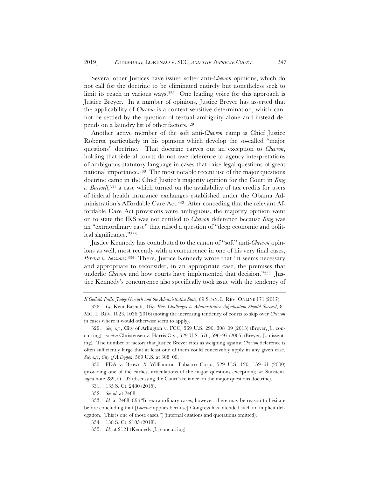Several other Justices have issued softer anti-*Chevron* opinions, which do not call for the doctrine to be eliminated entirely but nonetheless seek to limit its reach in various ways.<sup>328</sup> One leading voice for this approach is Justice Breyer. In a number of opinions, Justice Breyer has asserted that the applicability of *Chevron* is a context-sensitive determination, which cannot be settled by the question of textual ambiguity alone and instead depends on a laundry list of other factors.329

Another active member of the soft anti-*Chevron* camp is Chief Justice Roberts, particularly in his opinions which develop the so-called "major questions" doctrine. That doctrine carves out an exception to *Chevron*, holding that federal courts do not owe deference to agency interpretations of ambiguous statutory language in cases that raise legal questions of great national importance.330 The most notable recent use of the major questions doctrine came in the Chief Justice's majority opinion for the Court in *King v. Burwell*,331 a case which turned on the availability of tax credits for users of federal health insurance exchanges established under the Obama Administration's Affordable Care Act.332 After conceding that the relevant Affordable Care Act provisions were ambiguous, the majority opinion went on to state the IRS was not entitled to *Chevron* deference because *King* was an "extraordinary case" that raised a question of "deep economic and political significance."333

Justice Kennedy has contributed to the canon of "soft" anti-*Chevron* opinions as well, most recently with a concurrence in one of his very final cases, *Pereira v. Sessions*.334 There, Justice Kennedy wrote that "it seems necessary and appropriate to reconsider, in an appropriate case, the premises that underlie *Chevron* and how courts have implemented that decision."335 Justice Kennedy's concurrence also specifically took issue with the tendency of

*If Goliath Falls: Judge Gorsuch and the Administrative State*, 69 STAN. L. REV. ONLINE 171 (2017).

<sup>328.</sup> *Cf.* Kent Barnett*, Why Bias Challenges to Administrative Adjudication Should Succeed*, 81 MO. L. REV. 1023, 1036 (2016) (noting the increasing tendency of courts to skip over *Chevron* in cases where it would otherwise seem to apply).

<sup>329.</sup> *See, e.g.*, City of Arlington v. FCC*,* 569 U.S. 290, 308–09 (2013) (Breyer, J., concurring); *see also* Christensen v. Harris Cty., 529 U.S. 576, 596–97 (2005) (Breyer, J., dissenting). The number of factors that Justice Breyer cites as weighing against *Chevron* deference is often sufficiently large that at least one of them could conceivably apply in any given case. *See, e.g.*, *City of Arlington*, 569 U.S. at 308–09.

<sup>330.</sup> FDA v. Brown & Williamson Tobacco Corp*.*, 529 U.S. 120, 159–61 (2000) (providing one of the earliest articulations of the major questions exception); *see* Sunstein, *supra* note 289, at 193 (discussing the Court's reliance on the major questions doctrine).

<sup>331. 135</sup> S. Ct. 2480 (2015).

<sup>332.</sup> *See id.* at 2488.

<sup>333.</sup> *Id.* at 2488–89 ("In extraordinary cases, however, there may be reason to hesitate before concluding that [*Chevron* applies because] Congress has intended such an implicit delegation. This is one of those cases.") (internal citations and quotations omitted).

<sup>334. 138</sup> S. Ct. 2105 (2018).

<sup>335.</sup> *Id.* at 2121 (Kennedy, J., concurring).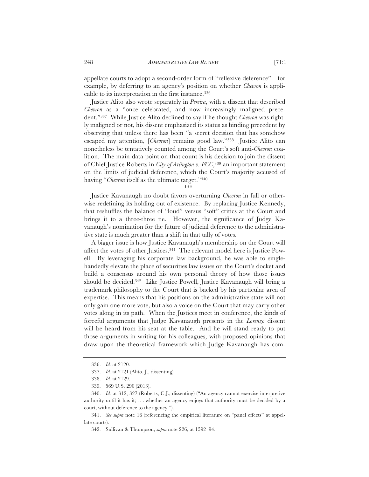appellate courts to adopt a second-order form of "reflexive deference"—for example, by deferring to an agency's position on whether *Chevron* is applicable to its interpretation in the first instance.336

Justice Alito also wrote separately in *Pereira*, with a dissent that described *Chevron* as a "once celebrated, and now increasingly maligned precedent."337 While Justice Alito declined to say if he thought *Chevron* was rightly maligned or not, his dissent emphasized its status as binding precedent by observing that unless there has been "a secret decision that has somehow escaped my attention, [*Chevron*] remains good law."338 Justice Alito can nonetheless be tentatively counted among the Court's soft anti-*Chevron* coalition. The main data point on that count is his decision to join the dissent of Chief Justice Roberts in *City of Arlington v. FCC*,339 an important statement on the limits of judicial deference, which the Court's majority accused of having "*Chevron* itself as the ultimate target."340

\*\*\*

Justice Kavanaugh no doubt favors overturning *Chevron* in full or otherwise redefining its holding out of existence. By replacing Justice Kennedy, that reshuffles the balance of "loud" versus "soft" critics at the Court and brings it to a three-three tie. However, the significance of Judge Kavanaugh's nomination for the future of judicial deference to the administrative state is much greater than a shift in that tally of votes.

A bigger issue is how Justice Kavanaugh's membership on the Court will affect the votes of other Justices.341 The relevant model here is Justice Powell. By leveraging his corporate law background, he was able to singlehandedly elevate the place of securities law issues on the Court's docket and build a consensus around his own personal theory of how those issues should be decided.342 Like Justice Powell, Justice Kavanaugh will bring a trademark philosophy to the Court that is backed by his particular area of expertise. This means that his positions on the administrative state will not only gain one more vote, but also a voice on the Court that may carry other votes along in its path. When the Justices meet in conference, the kinds of forceful arguments that Judge Kavanaugh presents in the *Lorenzo* dissent will be heard from his seat at the table. And he will stand ready to put those arguments in writing for his colleagues, with proposed opinions that draw upon the theoretical framework which Judge Kavanaugh has com-

341. *See supra* note 16 (referencing the empirical literature on "panel effects" at appellate courts).

<sup>336.</sup> *Id.* at 2120.

<sup>337.</sup> *Id.* at 2121 (Alito, J., dissenting).

<sup>338.</sup> *Id.* at 2129.

<sup>339. 569</sup> U.S. 290 (2013).

<sup>340.</sup> *Id.* at 312, 327 (Roberts, C.J., dissenting) ("An agency cannot exercise interpretive authority until it has it; . . . whether an agency enjoys that authority must be decided by a court, without deference to the agency.").

<sup>342.</sup> Sullivan & Thompson, *supra* note 226, at 1592–94.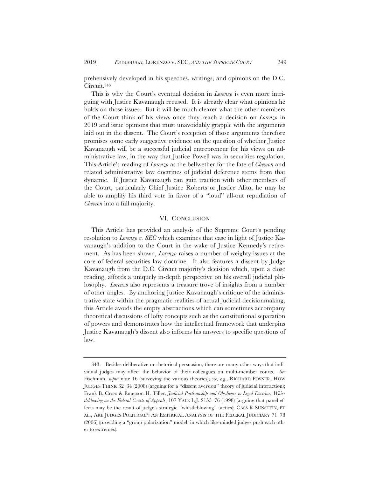prehensively developed in his speeches, writings, and opinions on the D.C. Circuit.343

This is why the Court's eventual decision in *Lorenzo* is even more intriguing with Justice Kavanaugh recused. It is already clear what opinions he holds on those issues. But it will be much clearer what the other members of the Court think of his views once they reach a decision on *Lorenzo* in 2019 and issue opinions that must unavoidably grapple with the arguments laid out in the dissent. The Court's reception of those arguments therefore promises some early suggestive evidence on the question of whether Justice Kavanaugh will be a successful judicial entrepreneur for his views on administrative law, in the way that Justice Powell was in securities regulation. This Article's reading of *Lorenzo* as the bellwether for the fate of *Chevron* and related administrative law doctrines of judicial deference stems from that dynamic. If Justice Kavanaugh can gain traction with other members of the Court, particularly Chief Justice Roberts or Justice Alito, he may be able to amplify his third vote in favor of a "loud" all-out repudiation of *Chevron* into a full majority.

# VI. CONCLUSION

This Article has provided an analysis of the Supreme Court's pending resolution to *Lorenzo v. SEC* which examines that case in light of Justice Kavanaugh's addition to the Court in the wake of Justice Kennedy's retirement. As has been shown, *Lorenzo* raises a number of weighty issues at the core of federal securities law doctrine. It also features a dissent by Judge Kavanaugh from the D.C. Circuit majority's decision which, upon a close reading, affords a uniquely in-depth perspective on his overall judicial philosophy. *Lorenzo* also represents a treasure trove of insights from a number of other angles. By anchoring Justice Kavanaugh's critique of the administrative state within the pragmatic realities of actual judicial decisionmaking, this Article avoids the empty abstractions which can sometimes accompany theoretical discussions of lofty concepts such as the constitutional separation of powers and demonstrates how the intellectual framework that underpins Justice Kavanaugh's dissent also informs his answers to specific questions of law.

<sup>343.</sup> Besides deliberative or rhetorical persuasion, there are many other ways that individual judges may affect the behavior of their colleagues on multi-member courts. *See* Fischman, *supra* note 16 (surveying the various theories); *see, e.g.*, RICHARD POSNER, HOW JUDGES THINK 32–34 (2008) (arguing for a "dissent aversion" theory of judicial interaction); Frank B. Cross & Emerson H. Tiller, *Judicial Partisanship and Obedience to Legal Doctrine: Whistleblowing on the Federal Courts of Appeals*, 107 YALE L.J. 2155–76 (1998) (arguing that panel effects may be the result of judge's strategic "whistleblowing" tactics); CASS R SUNSTEIN, ET AL., ARE JUDGES POLITICAL?: AN EMPIRICAL ANALYSIS OF THE FEDERAL JUDICIARY 71–78 (2006) (providing a "group polarization" model, in which like-minded judges push each other to extremes).